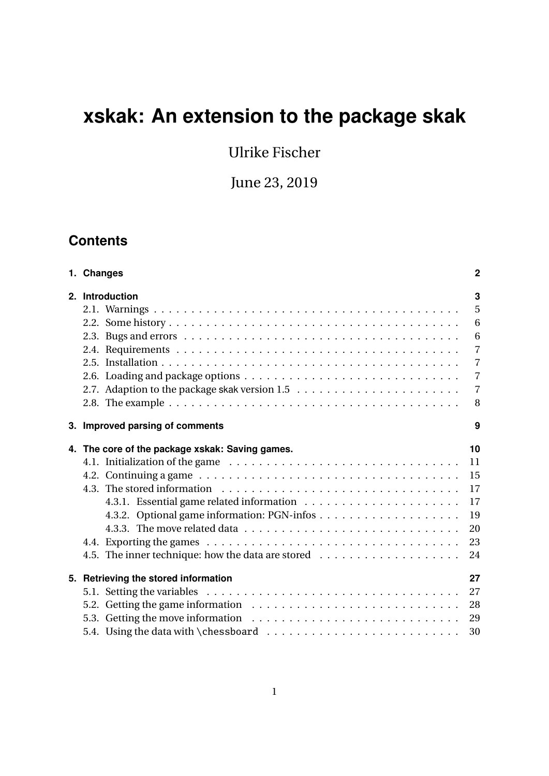# **xskak: An extension to the package skak**

Ulrike Fischer

June 23, 2019

# **Contents**

| 1. Changes                                      | $\overline{2}$ |
|-------------------------------------------------|----------------|
| 2. Introduction                                 | 3              |
|                                                 | 5              |
|                                                 | 6              |
|                                                 | 6              |
|                                                 | $\overline{7}$ |
|                                                 | $\overline{7}$ |
|                                                 | $\overline{7}$ |
|                                                 | $\overline{7}$ |
|                                                 | 8              |
| 3. Improved parsing of comments                 | 9              |
| 4. The core of the package xskak: Saving games. | 10             |
|                                                 | 11             |
|                                                 | 15             |
|                                                 | 17             |
|                                                 | 17             |
|                                                 | 19             |
|                                                 | 20             |
|                                                 | 23             |
|                                                 | 24             |
| 5. Retrieving the stored information            | 27             |
|                                                 | 27             |
|                                                 | 28             |
|                                                 | 29             |
|                                                 | 30             |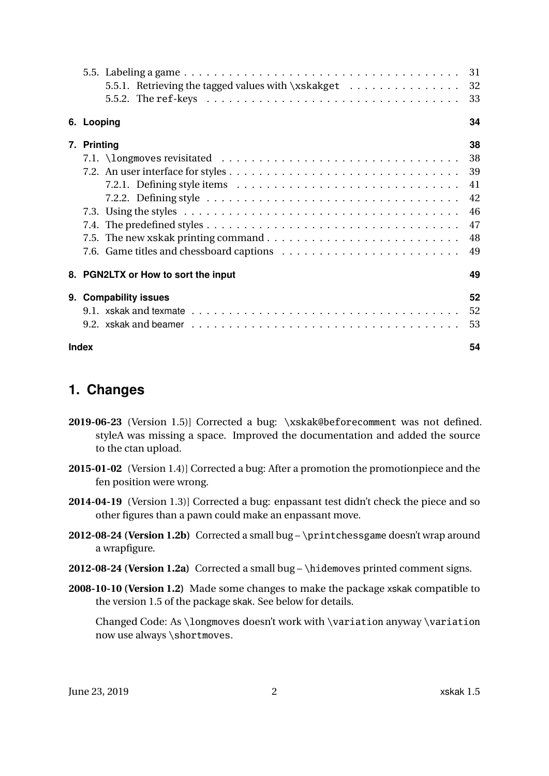| 5.5. Labeling a game $\ldots \ldots \ldots \ldots \ldots \ldots \ldots \ldots \ldots \ldots \ldots \ldots \ldots$ | 31 |  |
|-------------------------------------------------------------------------------------------------------------------|----|--|
| 5.5.1. Retrieving the tagged values with \xskakget                                                                | 32 |  |
| 5.5.2. The ref-keys $\ldots \ldots \ldots \ldots \ldots \ldots \ldots \ldots \ldots \ldots \ldots$                | 33 |  |
| 6. Looping                                                                                                        | 34 |  |
| 7. Printing                                                                                                       | 38 |  |
|                                                                                                                   | 38 |  |
|                                                                                                                   | 39 |  |
| 7.2.1. Defining style items $\dots \dots \dots \dots \dots \dots \dots \dots \dots \dots \dots \dots$             | 41 |  |
|                                                                                                                   | 42 |  |
|                                                                                                                   | 46 |  |
|                                                                                                                   | 47 |  |
|                                                                                                                   | 48 |  |
|                                                                                                                   | 49 |  |
| 8. PGN2LTX or How to sort the input                                                                               | 49 |  |
| 9. Compability issues                                                                                             | 52 |  |
|                                                                                                                   | 52 |  |
|                                                                                                                   | 53 |  |
| 54<br><b>Index</b>                                                                                                |    |  |

# <span id="page-1-0"></span>**1. Changes**

- **2019-06-23** (Version 1.5)] Corrected a bug: \xskak@beforecomment was not defined. styleA was missing a space. Improved the documentation and added the source to the ctan upload.
- **2015-01-02** (Version 1.4)] Corrected a bug: After a promotion the promotionpiece and the fen position were wrong.
- **2014-04-19** (Version 1.3)] Corrected a bug: enpassant test didn't check the piece and so other figures than a pawn could make an enpassant move.
- **2012-08-24 (Version 1.2b)** Corrected a small bug \printchessgame doesn't wrap around a wrapfigure.
- **2012-08-24 (Version 1.2a)** Corrected a small bug \hidemoves printed comment signs.
- **2008-10-10 (Version 1.2)** Made some changes to make the package xskak compatible to the version 1.5 of the package skak. See below for details.

Changed Code: As \longmoves doesn't work with \variation anyway \variation now use always \shortmoves.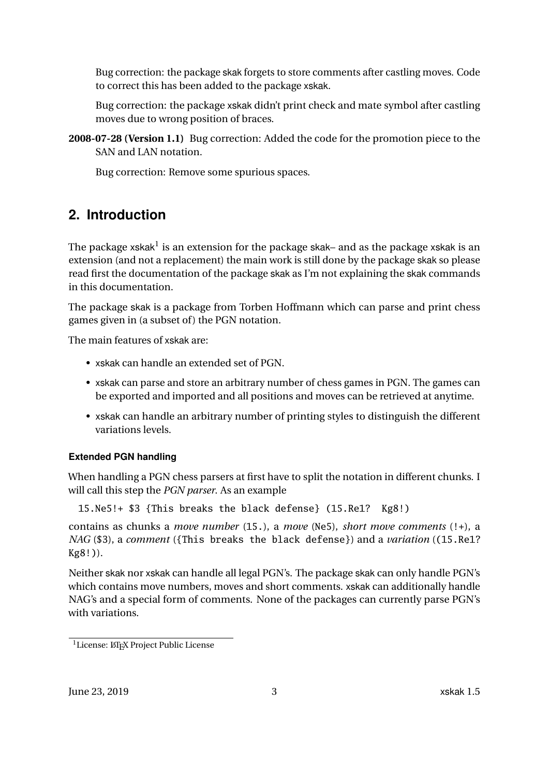Bug correction: the package skak forgets to store comments after castling moves. Code to correct this has been added to the package xskak.

Bug correction: the package xskak didn't print check and mate symbol after castling moves due to wrong position of braces.

**2008-07-28 (Version 1.1)** Bug correction: Added the code for the promotion piece to the SAN and LAN notation.

Bug correction: Remove some spurious spaces.

# <span id="page-2-0"></span>**2. Introduction**

The package xskak $^{\rm l}$  is an extension for the package skak– and as the package xskak is an extension (and not a replacement) the main work is still done by the package skak so please read first the documentation of the package skak as I'm not explaining the skak commands in this documentation.

The package skak is a package from Torben Hoffmann which can parse and print chess games given in (a subset of) the PGN notation.

The main features of xskak are:

- xskak can handle an extended set of PGN.
- xskak can parse and store an arbitrary number of chess games in PGN. The games can be exported and imported and all positions and moves can be retrieved at anytime.
- xskak can handle an arbitrary number of printing styles to distinguish the different variations levels.

### **Extended PGN handling**

When handling a PGN chess parsers at first have to split the notation in different chunks. I will call this step the *PGN parser*. As an example

15.Ne5!+ \$3 {This breaks the black defense} (15.Re1? Kg8!)

contains as chunks a *move number* (15.), a *move* (Ne5), *short move comments* (!+), a *NAG* (\$3), a *comment* ({This breaks the black defense}) and a *variation* ((15.Re1? Kg8!)).

Neither skak nor xskak can handle all legal PGN's. The package skak can only handle PGN's which contains move numbers, moves and short comments. xskak can additionally handle NAG's and a special form of comments. None of the packages can currently parse PGN's with variations.

<span id="page-2-1"></span><sup>&</sup>lt;sup>1</sup>License: LATEX Project Public License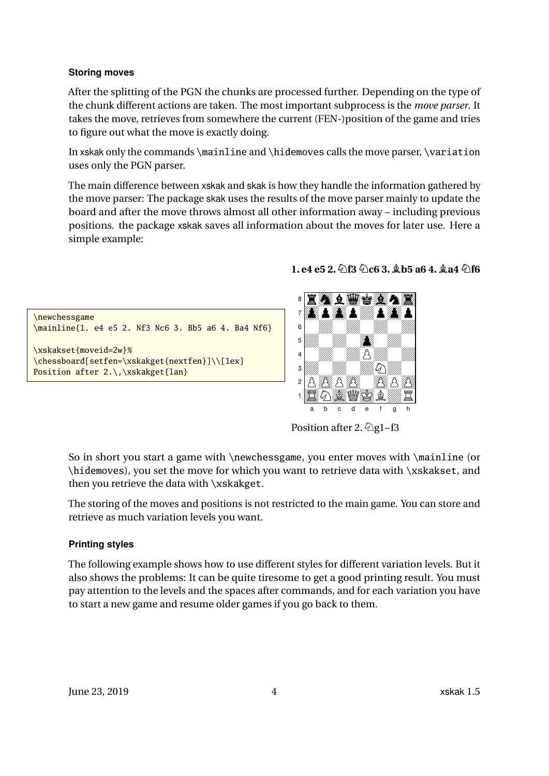#### **Storing moves**

After the splitting of the PGN the chunks are processed further. Depending on the type of the chunk different actions are taken. The most important subprocess is the *move parser*. It takes the move, retrieves from somewhere the current (FEN-)position of the game and tries to figure out what the move is exactly doing.

In xskak only the commands  $\mathrm{and}\$ hidemoves calls the move parser,  $\varphi$ uses only the PGN parser.

The main difference between xskak and skak is how they handle the information gathered by the move parser: The package skak uses the results of the move parser mainly to update the board and after the move throws almost all other information away – including previous positions. the package xskak saves all information about the moves for later use. Here a simple example:

# \newchessgame \mainline{1. e4 e5 2. Nf3 Nc6 3. Bb5 a6 4. Ba4 Nf6} \xskakset{moveid=2w}% \chessboard[setfen=\xskakget{nextfen}]\\[1ex] Position after 2.\,\xskakget{lan}

**1. e4 e5 2.Nf3 Nc6 3. Bb5 a6 4. Ba4 Nf6**



Position after 2.  $\&$  g1–f3

So in short you start a game with \newchessgame, you enter moves with \mainline (or \hidemoves), you set the move for which you want to retrieve data with \xskakset, and then you retrieve the data with \xskakget.

The storing of the moves and positions is not restricted to the main game. You can store and retrieve as much variation levels you want.

### **Printing styles**

The following example shows how to use different styles for different variation levels. But it also shows the problems: It can be quite tiresome to get a good printing result. You must pay attention to the levels and the spaces after commands, and for each variation you have to start a new game and resume older games if you go back to them.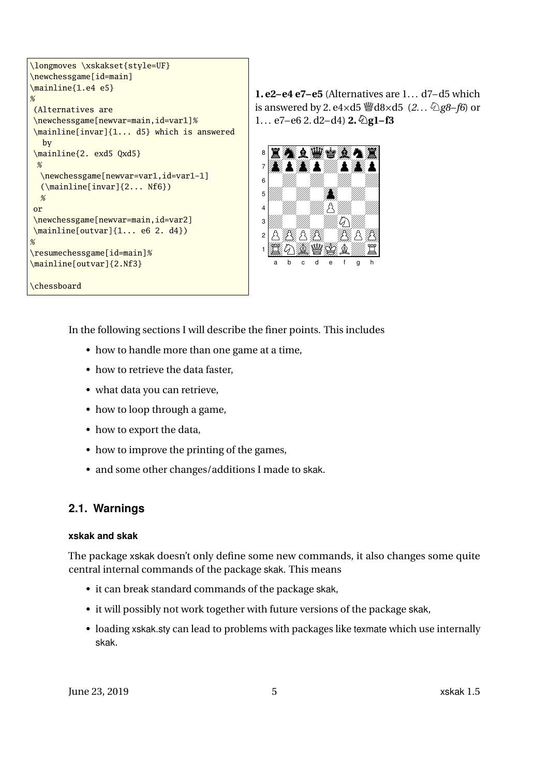```
\longmoves \xskakset{style=UF}
\newchessgame[id=main]
\mainline{1.e4 e5}
%(Alternatives are
\newchessgame[newvar=main,id=var1]%
\mainline[invar]{1... d5} which is answered
  by
\mainline{2. exd5 Qxd5}
 %
  \newchessgame[newvar=var1,id=var1-1]
  (\mainline[invar]{2... Nf6})
  %
or
\newchessgame[newvar=main,id=var2]
\mainline[outvar]{1... e6 2. d4})
\mathcal{O}_{\mathbb{A}}\resumechessgame[id=main]%
\mainline[outvar]{2.Nf3}
\chessboard
```
**1. e2–e4 e7–e5** (Alternatives are  $1...$  d7–d5 which is answered by 2. e4 $\times$ d5  $\mathscr{L}$ d8 $\times$ d5 (2. .  $\mathscr{L}$ g8–f6) or  $1... e7-e6$  2.  $d2-d4$ ) **2.**  $\bigotimes$  **g1–f3** 



In the following sections I will describe the finer points. This includes

- how to handle more than one game at a time,
- how to retrieve the data faster,
- what data you can retrieve,
- how to loop through a game,
- how to export the data,
- how to improve the printing of the games,
- and some other changes/additions I made to skak.

#### <span id="page-4-0"></span>**2.1. Warnings**

#### **xskak and skak**

The package xskak doesn't only define some new commands, it also changes some quite central internal commands of the package skak. This means

- it can break standard commands of the package skak,
- it will possibly not work together with future versions of the package skak,
- loading xskak.sty can lead to problems with packages like texmate which use internally skak.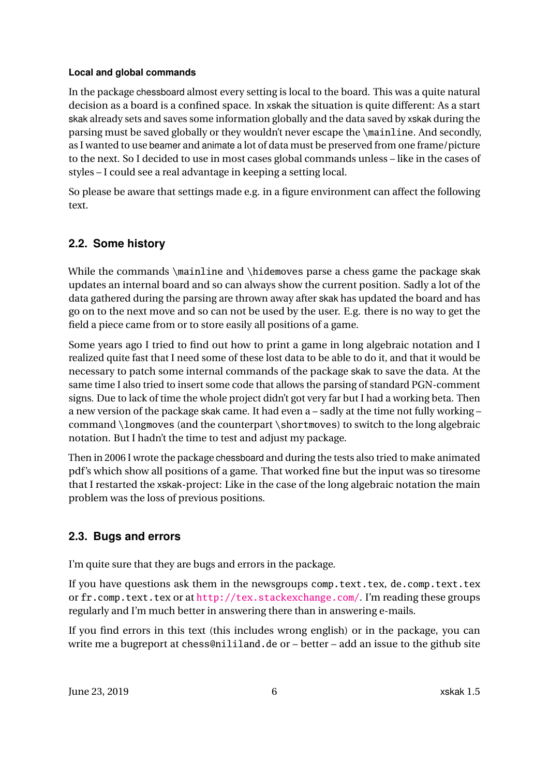#### <span id="page-5-2"></span>**Local and global commands**

In the package chessboard almost every setting is local to the board. This was a quite natural decision as a board is a confined space. In xskak the situation is quite different: As a start skak already sets and saves some information globally and the data saved by xskak during the parsing must be saved globally or they wouldn't never escape the \mainline. And secondly, as I wanted to use beamer and animate a lot of data must be preserved from one frame/picture to the next. So I decided to use in most cases global commands unless – like in the cases of styles – I could see a real advantage in keeping a setting local.

So please be aware that settings made e.g. in a figure environment can affect the following text.

### <span id="page-5-0"></span>**2.2. Some history**

While the commands \mainline and \hidemoves parse a chess game the package skak updates an internal board and so can always show the current position. Sadly a lot of the data gathered during the parsing are thrown away after skak has updated the board and has go on to the next move and so can not be used by the user. E.g. there is no way to get the field a piece came from or to store easily all positions of a game.

Some years ago I tried to find out how to print a game in long algebraic notation and I realized quite fast that I need some of these lost data to be able to do it, and that it would be necessary to patch some internal commands of the package skak to save the data. At the same time I also tried to insert some code that allows the parsing of standard PGN-comment signs. Due to lack of time the whole project didn't got very far but I had a working beta. Then a new version of the package skak came. It had even a – sadly at the time not fully working – command \longmoves (and the counterpart \shortmoves) to switch to the long algebraic notation. But I hadn't the time to test and adjust my package.

Then in 2006 I wrote the package chessboard and during the tests also tried to make animated pdf's which show all positions of a game. That worked fine but the input was so tiresome that I restarted the xskak-project: Like in the case of the long algebraic notation the main problem was the loss of previous positions.

### <span id="page-5-1"></span>**2.3. Bugs and errors**

I'm quite sure that they are bugs and errors in the package.

If you have questions ask them in the newsgroups comp.text.tex, de.comp.text.tex or fr.comp.text.tex or at <http://tex.stackexchange.com/>. I'm reading these groups regularly and I'm much better in answering there than in answering e-mails.

If you find errors in this text (this includes wrong english) or in the package, you can write me a bugreport at chess@nililand.de or – better – add an issue to the github site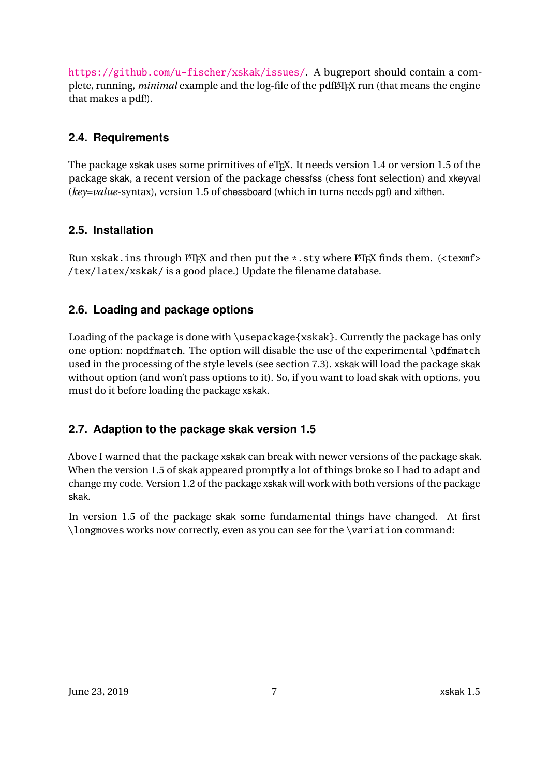<span id="page-6-4"></span><https://github.com/u-fischer/xskak/issues/>. A bugreport should contain a complete, running, *minimal* example and the log-file of the pdfLT<sub>E</sub>X run (that means the engine that makes a pdf!).

### <span id="page-6-0"></span>**2.4. Requirements**

The package xskak uses some primitives of eT<sub>E</sub>X. It needs version 1.4 or version 1.5 of the package skak, a recent version of the package chessfss (chess font selection) and xkeyval (*key=value*-syntax), version 1.5 of chessboard (which in turns needs pgf) and xifthen.

### <span id="page-6-1"></span>**2.5. Installation**

Run xskak.ins through  $\Delta E$  and then put the  $*$ .sty where  $\Delta E$ <sub>E</sub>X finds them. (<texmf> /tex/latex/xskak/ is a good place.) Update the filename database.

### <span id="page-6-2"></span>**2.6. Loading and package options**

Loading of the package is done with \usepackage{xskak}. Currently the package has only one option: nopdfmatch. The option will disable the use of the experimental \pdfmatch used in the processing of the style levels (see section [7.3\)](#page-45-0). xskak will load the package skak without option (and won't pass options to it). So, if you want to load skak with options, you must do it before loading the package xskak.

### <span id="page-6-3"></span>**2.7. Adaption to the package skak version 1.5**

Above I warned that the package xskak can break with newer versions of the package skak. When the version 1.5 of skak appeared promptly a lot of things broke so I had to adapt and change my code. Version 1.2 of the package xskak will work with both versions of the package skak.

In version 1.5 of the package skak some fundamental things have changed. At first \longmoves works now correctly, even as you can see for the \variation command: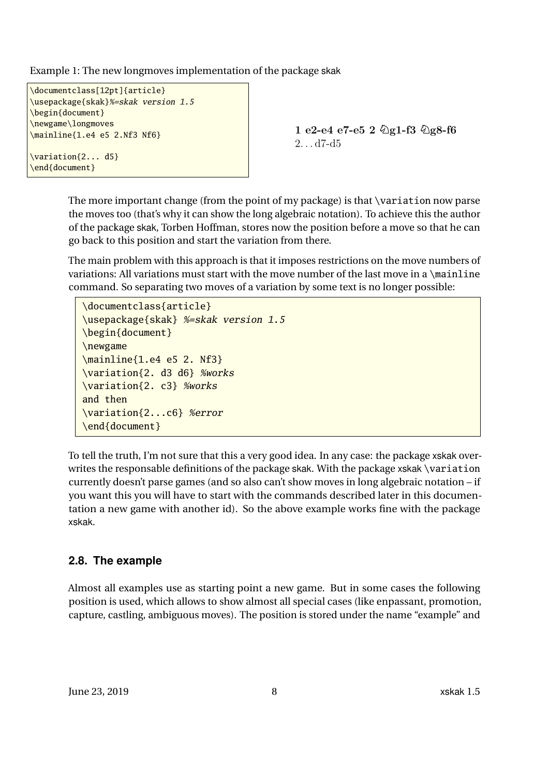Example 1: The new longmoves implementation of the package skak

```
\documentclass[12pt]{article}
\usepackage{skak}%=skak version 1.5
\begin{document}
\newgame\longmoves
\mainline{1.e4 e5 2.Nf3 Nf6}
\variation{2... d5}
\end{document}
```
1 e2-e4 e7-e5 2 **N**g1-f3 **N**g8-f6  $2. . . d7-d5$ 

The more important change (from the point of my package) is that \variation now parse the moves too (that's why it can show the long algebraic notation). To achieve this the author of the package skak, Torben Hoffman, stores now the position before a move so that he can go back to this position and start the variation from there.

The main problem with this approach is that it imposes restrictions on the move numbers of variations: All variations must start with the move number of the last move in a  $\mathcal{A}$  mainline command. So separating two moves of a variation by some text is no longer possible:

```
\documentclass{article}
\usepackage{skak} %=skak version 1.5
\begin{document}
\newgame
\mainline{1.e4 e5 2. Nf3}
\variation{2. d3 d6} %works
\variation{2. c3} %works
and then
\variation{2...c6} %error
\end{document}
```
To tell the truth, I'm not sure that this a very good idea. In any case: the package xskak overwrites the responsable definitions of the package skak. With the package xskak \variation currently doesn't parse games (and so also can't show moves in long algebraic notation – if you want this you will have to start with the commands described later in this documentation a new game with another id). So the above example works fine with the package xskak.

### <span id="page-7-0"></span>**2.8. The example**

Almost all examples use as starting point a new game. But in some cases the following position is used, which allows to show almost all special cases (like enpassant, promotion, capture, castling, ambiguous moves). The position is stored under the name "example" and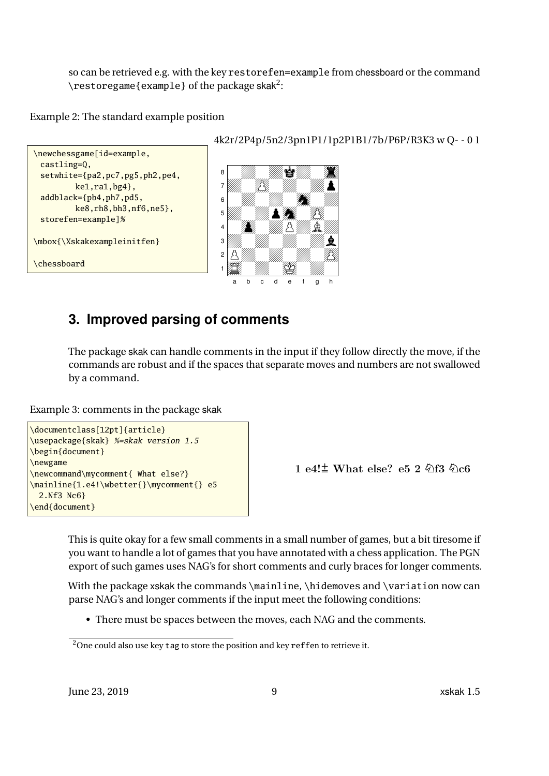so can be retrieved e.g. with the key restorefen=example from chessboard or the command  $\text{restoregame}\{\text{example}\}$  of the package skak $^2$  $^2$ :

Example 2: The standard example position



# <span id="page-8-0"></span>**3. Improved parsing of comments**

The package skak can handle comments in the input if they follow directly the move, if the commands are robust and if the spaces that separate moves and numbers are not swallowed by a command.

Example 3: comments in the package skak

```
\documentclass[12pt]{article}
\usepackage{skak} %=skak version 1.5
\begin{document}
\newgame
\newcommand\mycomment{ What else?}
\mainline{1.e4!\wbetter{}\mycomment{} e5
 2.Nf3 Nc6}
\end{document}
```
1 e4!**f** What else? e5 2 **N**f3 **N**c6

This is quite okay for a few small comments in a small number of games, but a bit tiresome if you want to handle a lot of games that you have annotated with a chess application. The PGN export of such games uses NAG's for short comments and curly braces for longer comments.

With the package xskak the commands \mainline, \hidemoves and \variation now can parse NAG's and longer comments if the input meet the following conditions:

• There must be spaces between the moves, each NAG and the comments.

<span id="page-8-1"></span><sup>&</sup>lt;sup>2</sup>One could also use key tag to store the position and key reffen to retrieve it.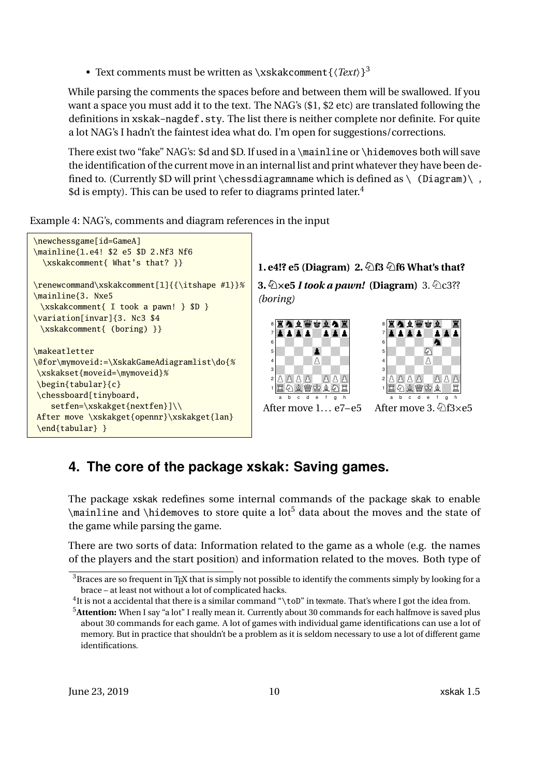• Text comments must be written as \xskakcomment{〈*Text*〉} [3](#page-9-1)

While parsing the comments the spaces before and between them will be swallowed. If you want a space you must add it to the text. The NAG's (\$1, \$2 etc) are translated following the definitions in xskak-nagdef.sty. The list there is neither complete nor definite. For quite a lot NAG's I hadn't the faintest idea what do. I'm open for suggestions/corrections.

There exist two "fake" NAG's: \$d and \$D. If used in a \mainline or \hidemoves both will save the identification of the current move in an internal list and print whatever they have been defined to. (Currently  $D$  will print \chessdiagramname which is defined as \ (Diagram)\,  $\dagger$ d is empty). This can be used to refer to diagrams printed later.<sup>[4](#page-9-2)</sup>

Example 4: NAG's, comments and diagram references in the input



# <span id="page-9-0"></span>**4. The core of the package xskak: Saving games.**

The package xskak redefines some internal commands of the package skak to enable  $\mathcal{S}$  and  $\hbar$  data about the moves and the state of the game while parsing the game.

There are two sorts of data: Information related to the game as a whole (e.g. the names of the players and the start position) and information related to the moves. Both type of

<span id="page-9-1"></span> $3B$  Braces are so frequent in T<sub>E</sub>X that is simply not possible to identify the comments simply by looking for a brace – at least not without a lot of complicated hacks.

<span id="page-9-2"></span> $^{4}$ It is not a accidental that there is a similar command "\toD" in texmate. That's where I got the idea from.

<span id="page-9-3"></span><sup>5</sup>**Attention:** When I say "a lot" I really mean it. Currently about 30 commands for each halfmove is saved plus about 30 commands for each game. A lot of games with individual game identifications can use a lot of memory. But in practice that shouldn't be a problem as it is seldom necessary to use a lot of different game identifications.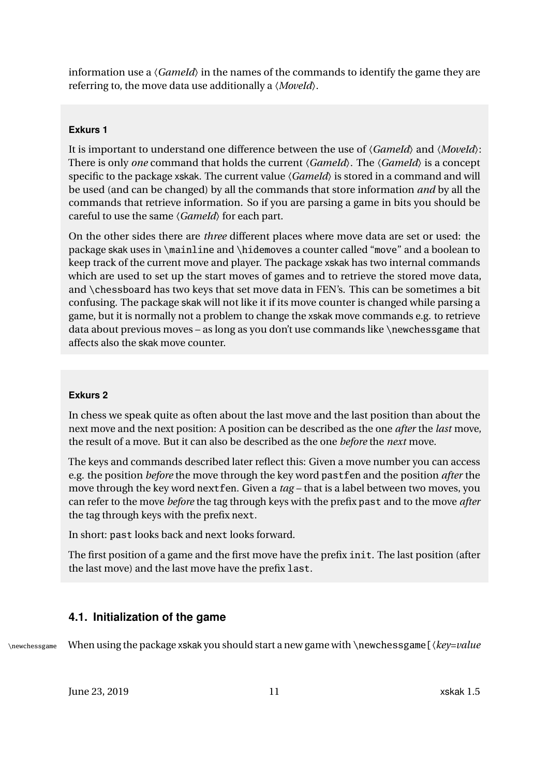<span id="page-10-1"></span>information use a  $\langle Gameld \rangle$  in the names of the commands to identify the game they are referring to, the move data use additionally a 〈*MoveId*〉.

#### **Exkurs 1**

It is important to understand one difference between the use of 〈*GameId*〉 and 〈*MoveId*〉: There is only *one* command that holds the current 〈*GameId*〉. The 〈*GameId*〉 is a concept specific to the package xskak. The current value  $\langle Gameld \rangle$  is stored in a command and will be used (and can be changed) by all the commands that store information *and* by all the commands that retrieve information. So if you are parsing a game in bits you should be careful to use the same  $\langle Gameld \rangle$  for each part.

On the other sides there are *three* different places where move data are set or used: the package skak uses in \mainline and \hidemoves a counter called "move" and a boolean to keep track of the current move and player. The package xskak has two internal commands which are used to set up the start moves of games and to retrieve the stored move data, and \chessboard has two keys that set move data in FEN's. This can be sometimes a bit confusing. The package skak will not like it if its move counter is changed while parsing a game, but it is normally not a problem to change the xskak move commands e.g. to retrieve data about previous moves – as long as you don't use commands like \newchessgame that affects also the skak move counter.

#### **Exkurs 2**

In chess we speak quite as often about the last move and the last position than about the next move and the next position: A position can be described as the one *after* the *last* move, the result of a move. But it can also be described as the one *before* the *next* move.

The keys and commands described later reflect this: Given a move number you can access e.g. the position *before* the move through the key word pastfen and the position *after* the move through the key word nextfen. Given a *tag* – that is a label between two moves, you can refer to the move *before* the tag through keys with the prefix past and to the move *after* the tag through keys with the prefix next.

In short: past looks back and next looks forward.

The first position of a game and the first move have the prefix init. The last position (after the last move) and the last move have the prefix last.

### <span id="page-10-0"></span>**4.1. Initialization of the game**

\newchessgame When using the package xskak you should start a new game with \newchessgame[〈*key=value*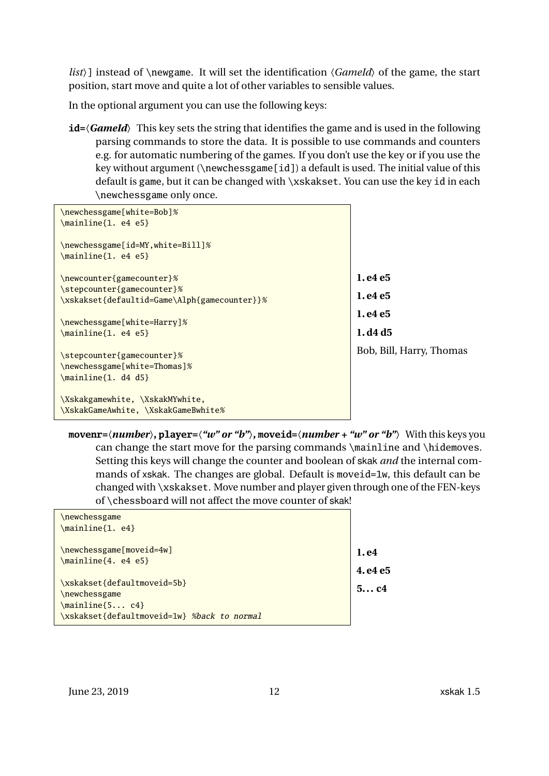<span id="page-11-0"></span>*list*〉] instead of \newgame. It will set the identification 〈*GameId*〉 of the game, the start position, start move and quite a lot of other variables to sensible values.

In the optional argument you can use the following keys:

**id=**〈*GameId*〉 This key sets the string that identifies the game and is used in the following parsing commands to store the data. It is possible to use commands and counters e.g. for automatic numbering of the games. If you don't use the key or if you use the key without argument (\newchessgame[id]) a default is used. The initial value of this default is game, but it can be changed with \xskakset. You can use the key id in each \newchessgame only once.

| \newchessgame[white=Bob]%<br>$\mathcal{1.}$ e4 e5}                                          |                          |
|---------------------------------------------------------------------------------------------|--------------------------|
| \newchessgame[id=MY,white=Bill]%<br>$\mathcal{1.}$ e4 e5}                                   |                          |
| \newcounter{gamecounter}%                                                                   | 1. e4 e5                 |
| \stepcounter{gamecounter}%<br>\xskakset{defaultid=Game\Alph{gamecounter}}%                  | 1. e4 e5                 |
| \newchessgame[white=Harry]%                                                                 | 1. e4 e5                 |
| $\mathcal{1.}$ e4 e5}                                                                       | 1. d4 d5                 |
| \stepcounter{gamecounter}%<br>\newchessgame[white=Thomas]%<br>$\mathrm{1.} \, \mathrm{d4.}$ | Bob, Bill, Harry, Thomas |
| \Xskakgamewhite, \XskakMYwhite,<br>\XskakGameAwhite, \XskakGameBwhite%                      |                          |

**movenr=**〈*number*〉**, player=**〈*"w" or "b"*〉**, moveid=**〈*number + "w" or "b"*〉 With this keys you can change the start move for the parsing commands \mainline and \hidemoves. Setting this keys will change the counter and boolean of skak *and* the internal commands of xskak. The changes are global. Default is moveid=1w, this default can be changed with \xskakset. Move number and player given through one of the FEN-keys of \chessboard will not affect the move counter of skak!

| \newchessgame                               |         |
|---------------------------------------------|---------|
| \mainline{1. e4}                            |         |
|                                             |         |
| \newchessgame[moveid=4w]                    | 1. e4   |
| $\mathcal{4.}$ e4 e5}                       |         |
|                                             | 4.e4 e5 |
| \xskakset{defaultmoveid=5b}                 | 5c4     |
| \newchessgame                               |         |
| $\mathcal{5} \ldots \mathcal{C}$            |         |
| \xskakset{defaultmoveid=1w} %back to normal |         |
|                                             |         |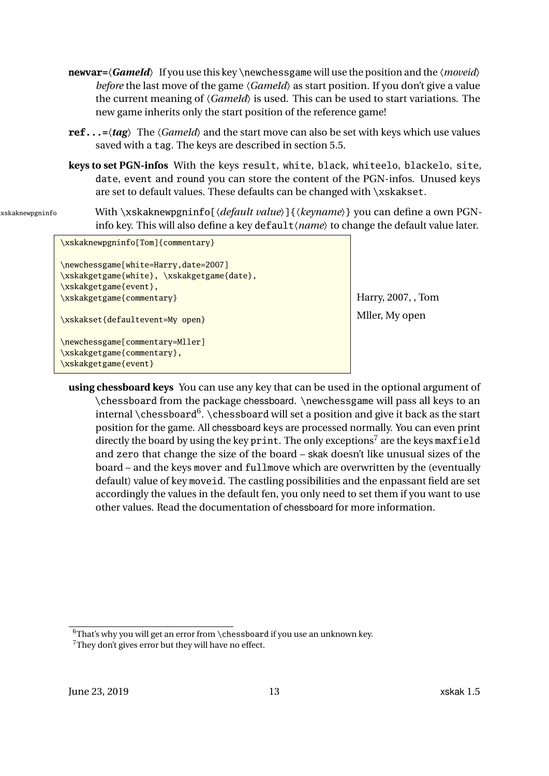- <span id="page-12-2"></span>**newvar=**〈*GameId*〉 If you use this key \newchessgame will use the position and the 〈*moveid*〉 *before* the last move of the game  $\langle Gameld \rangle$  as start position. If you don't give a value the current meaning of 〈*GameId*〉 is used. This can be used to start variations. The new game inherits only the start position of the reference game!
- **ref...=**〈*tag*〉 The 〈*GameId*〉 and the start move can also be set with keys which use values saved with a tag. The keys are described in section [5.5.](#page-30-0)
- **keys to set PGN-infos** With the keys result, white, black, whiteelo, blackelo, site, date, event and round you can store the content of the PGN-infos. Unused keys are set to default values. These defaults can be changed with \xskakset.
- 

xskaknewpgninfo With \xskaknewpgninfo[\*default value*}]{\*keyname*}} you can define a own PGNinfo key. This will also define a key default (*name*) to change the default value later.

```
\xskaknewpgninfo[Tom]{commentary}
\newchessgame[white=Harry,date=2007]
\xskakgetgame{white}, \xskakgetgame{date},
\xskakgetgame{event},
\xskakgetgame{commentary}
\xskakset{defaultevent=My open}
\newchessgame[commentary=Mller]
\xskakgetgame{commentary},
\xskakgetgame{event}
```
Harry, 2007, , Tom Mller, My open

**using chessboard keys** You can use any key that can be used in the optional argument of \chessboard from the package chessboard. \newchessgame will pass all keys to an internal \chessboard $^6$  $^6$ . \chessboard will set a position and give it back as the start position for the game. All chessboard keys are processed normally. You can even print directly the board by using the key print. The only exceptions<sup>[7](#page-12-1)</sup> are the keys maxfield and zero that change the size of the board – skak doesn't like unusual sizes of the board – and the keys mover and fullmove which are overwritten by the (eventually default) value of key moveid. The castling possibilities and the enpassant field are set accordingly the values in the default fen, you only need to set them if you want to use other values. Read the documentation of chessboard for more information.

<span id="page-12-0"></span> $6$ That's why you will get an error from \chessboard if you use an unknown key.

<span id="page-12-1"></span><sup>&</sup>lt;sup>7</sup>They don't gives error but they will have no effect.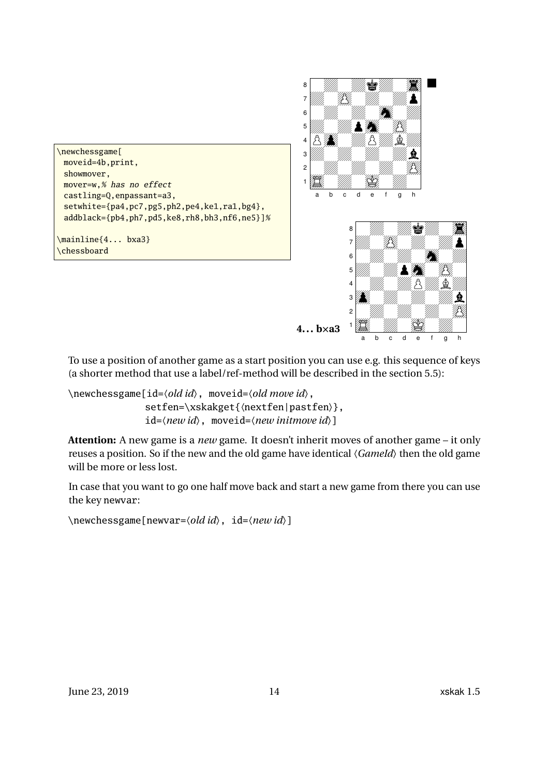



To use a position of another game as a start position you can use e.g. this sequence of keys (a shorter method that use a label/ref-method will be described in the section [5.5\)](#page-30-0):

\newchessgame[id=〈*old id*〉, moveid=〈*old move id*〉, setfen=\xskakget{〈nextfen|pastfen〉}, id=〈*new id*〉, moveid=〈*new initmove id*〉]

**Attention:** A new game is a *new* game. It doesn't inherit moves of another game – it only reuses a position. So if the new and the old game have identical 〈*GameId*〉 then the old game will be more or less lost.

In case that you want to go one half move back and start a new game from there you can use the key newvar:

\newchessgame[newvar=〈*old id*〉, id=〈*new id*〉]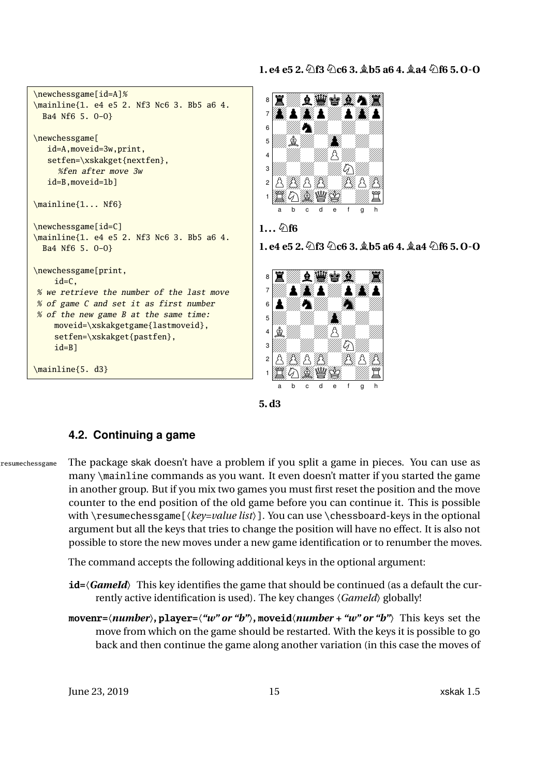<span id="page-14-1"></span>



### <span id="page-14-0"></span>**4.2. Continuing a game**

resumechessgame The package skak doesn't have a problem if you split a game in pieces. You can use as many \mainline commands as you want. It even doesn't matter if you started the game in another group. But if you mix two games you must first reset the position and the move counter to the end position of the old game before you can continue it. This is possible with \resumechessgame[〈*key=value list*〉]. You can use \chessboard-keys in the optional argument but all the keys that tries to change the position will have no effect. It is also not possible to store the new moves under a new game identification or to renumber the moves.

The command accepts the following additional keys in the optional argument:

- **id**= $\langle$ *GameId* $\rangle$  This key identifies the game that should be continued (as a default the currently active identification is used). The key changes 〈*GameId*〉 globally!
- **movenr=**〈*number*〉**, player=**〈*"w" or "b"*〉**, moveid**〈*number + "w" or "b"*〉 This keys set the move from which on the game should be restarted. With the keys it is possible to go back and then continue the game along another variation (in this case the moves of

June 23, 2019 **15** xskak 1.5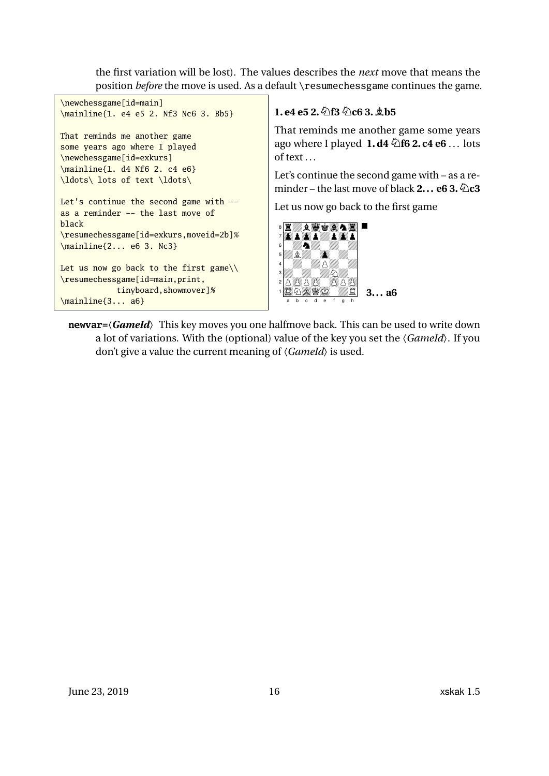<span id="page-15-0"></span>the first variation will be lost). The values describes the *next* move that means the position *before* the move is used. As a default \resumechessgame continues the game.

```
\newchessgame[id=main]
\mainline{1. e4 e5 2. Nf3 Nc6 3. Bb5}
That reminds me another game
some years ago where I played
\newchessgame[id=exkurs]
\mainline{1. d4 Nf6 2. c4 e6}
\ldots\ lots of text \ldots\
Let's continue the second game with --
as a reminder -- the last move of
black
\resumechessgame[id=exkurs,moveid=2b]%
\mainline{2... e6 3. Nc3}
Let us now go back to the first game\setminus\resumechessgame[id=main,print,
                tinyboard,showmover]%
\mainline{3... a6}
                                                             1. e4 e5 2. \n\Diamond f3 \Diamond c6 3. \Diamond b5
                                                             That reminds me another game some years
                                                             ago where I played 1. d4 Nf6 2. c4 e6 .. . lots
                                                             of text . . .
                                                             Let's continue the second game with – as a re-
                                                             minder – the last move of black 2... e6 3. \&Omegac3
                                                             Let us now go back to the first game
                                                                E AWGAAZ
                                                              7 opopza word
                                                              \frac{6}{5} \frac{20}{3}5 ZBZ0o0Z0 4 0Z0ZPZ0Z 3 \frac{1}{2} \frac{1}{2} \frac{1}{2} \frac{1}{2} \frac{1}{2} \frac{1}{2} \frac{1}{2} \frac{1}{2} \frac{1}{2} \frac{1}{2} \frac{1}{2} \frac{1}{2} \frac{1}{2} \frac{1}{2} \frac{1}{2} \frac{1}{2} \frac{1}{2} \frac{1}{2} \frac{1}{2} \frac{1}{2} \frac{1}{2} \frac{1}{228B1 TAXWA 42
                                                                 a b c d e f g h
                                                                                        3... a6
```
**newvar=**〈*GameId*〉 This key moves you one halfmove back. This can be used to write down a lot of variations. With the (optional) value of the key you set the 〈*GameId*〉. If you don't give a value the current meaning of 〈*GameId*〉 is used.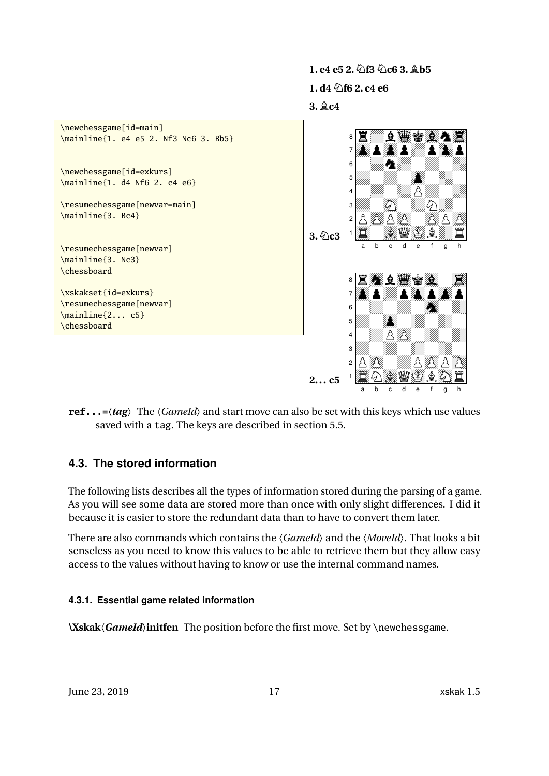<span id="page-16-2"></span>

**ref...=**〈*tag*〉 The 〈*GameId*〉 and start move can also be set with this keys which use values saved with a tag. The keys are described in section [5.5.](#page-30-0)

### <span id="page-16-0"></span>**4.3. The stored information**

The following lists describes all the types of information stored during the parsing of a game. As you will see some data are stored more than once with only slight differences. I did it because it is easier to store the redundant data than to have to convert them later.

There are also commands which contains the 〈*GameId*〉 and the 〈*MoveId*〉. That looks a bit senseless as you need to know this values to be able to retrieve them but they allow easy access to the values without having to know or use the internal command names.

### <span id="page-16-1"></span>**4.3.1. Essential game related information**

**\Xskak**〈*GameId*〉**initfen** The position before the first move. Set by \newchessgame.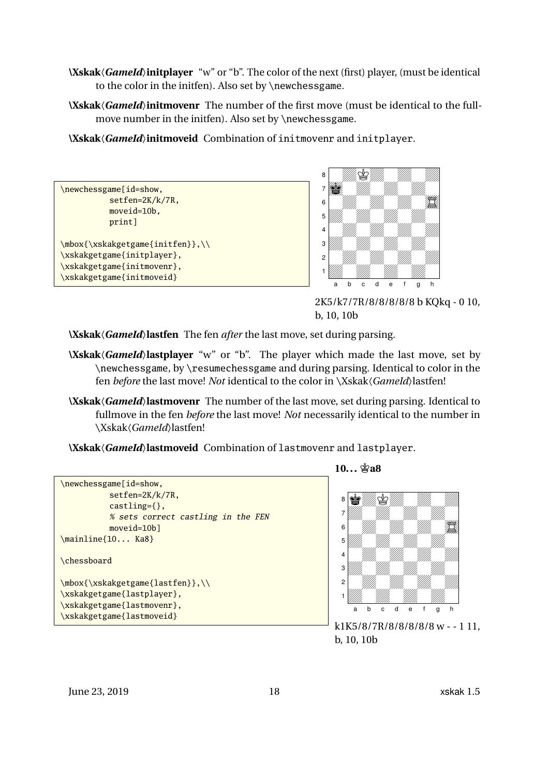- <span id="page-17-0"></span>**\Xskak**〈*GameId*〉**initplayer** "w" or "b". The color of the next (first) player, (must be identical to the color in the initfen). Also set by \newchessgame.
- **\Xskak**〈*GameId*〉**initmovenr** The number of the first move (must be identical to the fullmove number in the initfen). Also set by \newchessgame.

**\Xskak**〈*GameId*〉**initmoveid** Combination of initmovenr and initplayer.

```
\newchessgame[id=show,
          setfen=2K/k/7R,
          moveid=10b,
          print]
\mbox{\xskakgetgame{initfen}},\\
\xskakgetgame{initplayer},
\xskakgetgame{initmovenr},
\xskakgetgame{initmoveid}
```


2K5/k7/7R/8/8/8/8/8 b KQkq - 0 10, b, 10, 10b

**\Xskak**〈*GameId*〉**lastfen** The fen *after* the last move, set during parsing.

- **\Xskak**〈*GameId*〉**lastplayer** "w" or "b". The player which made the last move, set by \newchessgame, by \resumechessgame and during parsing. Identical to color in the fen *before* the last move! *Not* identical to the color in \Xskak\*GameId*\} lastfen!
- **\Xskak**〈*GameId*〉**lastmovenr** The number of the last move, set during parsing. Identical to fullmove in the fen *before* the last move! *Not* necessarily identical to the number in \Xskak〈*GameId*〉lastfen!
- **\Xskak**〈*GameId*〉**lastmoveid** Combination of lastmovenr and lastplayer.



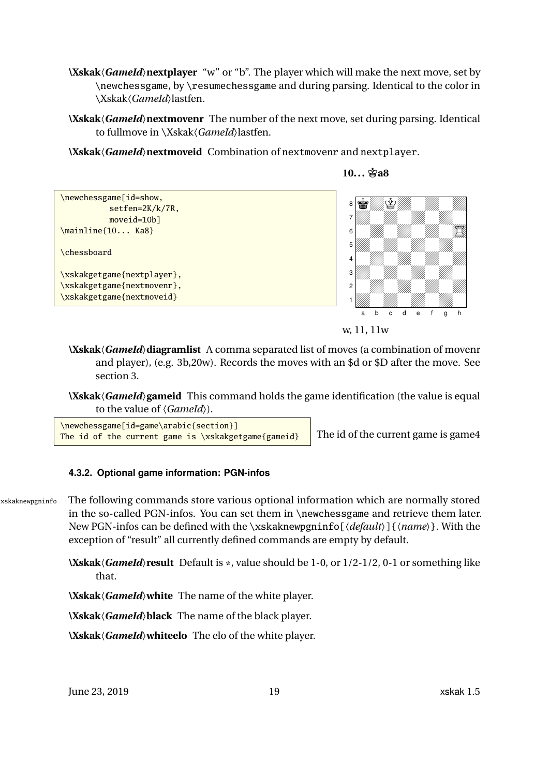- <span id="page-18-1"></span>**\Xskak**〈*GameId*〉**nextplayer** "w" or "b". The player which will make the next move, set by \newchessgame, by \resumechessgame and during parsing. Identical to the color in \Xskak〈*GameId*〉lastfen.
- **\Xskak**〈*GameId*〉**nextmovenr** The number of the next move, set during parsing. Identical to fullmove in \Xskak〈*GameId*〉lastfen.

**\Xskak**〈*GameId*〉**nextmoveid** Combination of nextmovenr and nextplayer.



**10...**  $\hat{\mathbb{A}}$ **a8** 



**\Xskak**〈*GameId*〉**diagramlist** A comma separated list of moves (a combination of movenr and player), (e.g. 3b,20w). Records the moves with an \$d or \$D after the move. See section [3.](#page-8-0)

**\Xskak**〈*GameId*〉**gameid** This command holds the game identification (the value is equal to the value of 〈*GameId*〉).

\newchessgame[id=game\arabic{section}] The id of the current game is \xskakgetgame{gameid} The id of the current game is game4

#### <span id="page-18-0"></span>**4.3.2. Optional game information: PGN-infos**

xskaknewpgninfo The following commands store various optional information which are normally stored in the so-called PGN-infos. You can set them in \newchessgame and retrieve them later. New PGN-infos can be defined with the \xskaknewpgninfo[〈*default*〉]{〈*name*〉}. With the exception of "result" all currently defined commands are empty by default.

> **\Xskak**〈*GameId*〉**result** Default is \*, value should be 1-0, or 1/2-1/2, 0-1 or something like that.

**\Xskak**〈*GameId*〉**white** The name of the white player.

**\Xskak**〈*GameId*〉**black** The name of the black player.

**\Xskak**〈*GameId*〉**whiteelo** The elo of the white player.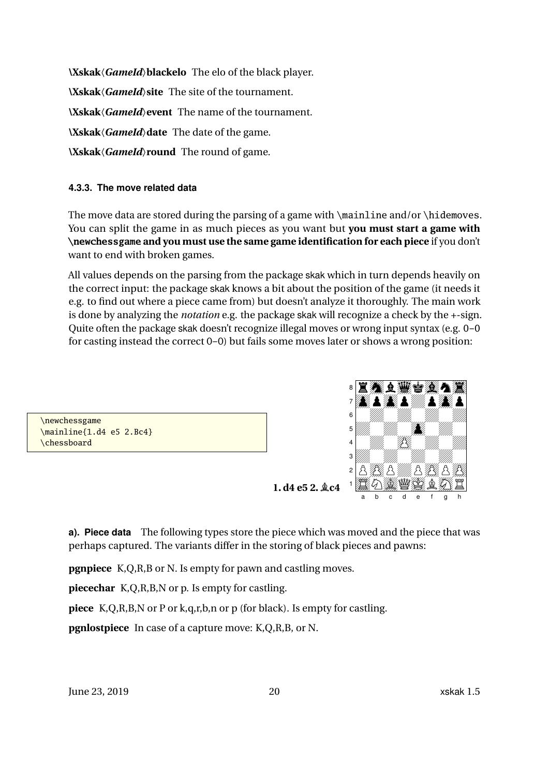<span id="page-19-1"></span>**\Xskak**〈*GameId*〉**blackelo** The elo of the black player. **\Xskak**〈*GameId*〉**site** The site of the tournament. **\Xskak**〈*GameId*〉**event** The name of the tournament. **\Xskak**〈*GameId*〉**date** The date of the game. **\Xskak**〈*GameId*〉**round** The round of game.

#### <span id="page-19-0"></span>**4.3.3. The move related data**

The move data are stored during the parsing of a game with \mainline and/or \hidemoves. You can split the game in as much pieces as you want but **you must start a game with \newchessgame and you must use the same game identification for each piece** if you don't want to end with broken games.

All values depends on the parsing from the package skak which in turn depends heavily on the correct input: the package skak knows a bit about the position of the game (it needs it e.g. to find out where a piece came from) but doesn't analyze it thoroughly. The main work is done by analyzing the *notation* e.g. the package skak will recognize a check by the +-sign. Quite often the package skak doesn't recognize illegal moves or wrong input syntax (e.g. 0-0 for casting instead the correct O-O) but fails some moves later or shows a wrong position:



**a). Piece data** The following types store the piece which was moved and the piece that was perhaps captured. The variants differ in the storing of black pieces and pawns:

**pgnpiece** K,Q,R,B or N. Is empty for pawn and castling moves.

**piecechar** K,Q,R,B,N or p. Is empty for castling.

**piece** K,Q,R,B,N or P or k,q,r,b,n or p (for black). Is empty for castling.

**pgnlostpiece** In case of a capture move: K,Q,R,B, or N.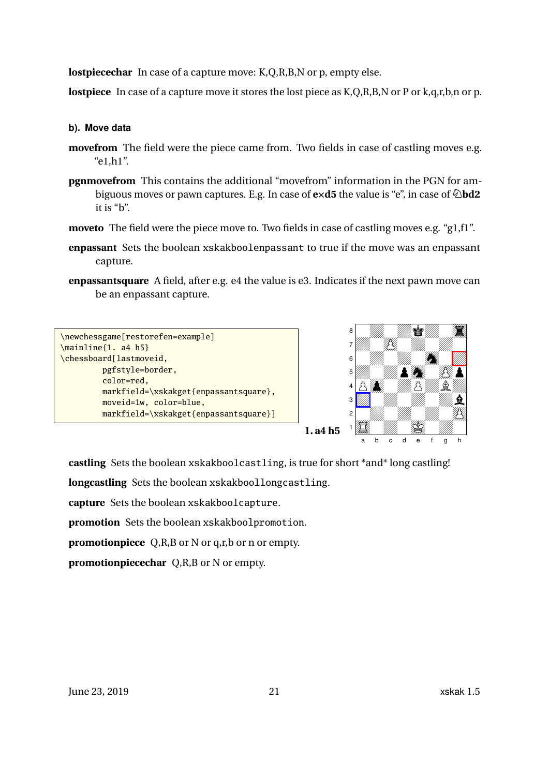<span id="page-20-0"></span>**lostpiecechar** In case of a capture move: K,Q,R,B,N or p, empty else.

**lostpiece** In case of a capture move it stores the lost piece as K,Q,R,B,N or P or k,q,r,b,n or p.

#### **b). Move data**

- **movefrom** The field were the piece came from. Two fields in case of castling moves e.g. "e1,h1".
- **pgnmovefrom** This contains the additional "movefrom" information in the PGN for ambiguous moves or pawn captures. E.g. In case of **eXd5** the value is "e", in case of **Nbd2** it is "b".
- **moveto** The field were the piece move to. Two fields in case of castling moves e.g. "g1,f1".
- **enpassant** Sets the boolean xskakboolenpassant to true if the move was an enpassant capture.
- **enpassantsquare** A field, after e.g. e4 the value is e3. Indicates if the next pawn move can be an enpassant capture.





**castling** Sets the boolean xskakboolcastling, is true for short \*and\* long castling!

**longcastling** Sets the boolean xskakboollongcastling.

**capture** Sets the boolean xskakboolcapture.

**promotion** Sets the boolean xskakboolpromotion.

**promotionpiece** Q,R,B or N or q,r,b or n or empty.

**promotionpiecechar** Q,R,B or N or empty.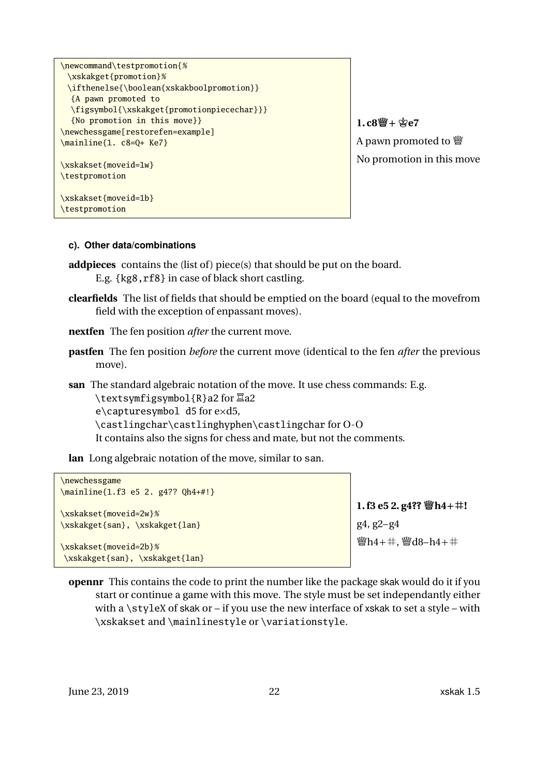```
\newcommand\testpromotion{%
 \xskakget{promotion}%
 \ifthenelse{\boolean{xskakboolpromotion}}
  {A pawn promoted to
  \figsymbol{\xskakget{promotionpiecechar}}}
  {No promotion in this move}}
\newchessgame[restorefen=example]
\mainline{1. c8=Q+ Ke7}
\xskakset{moveid=1w}
\testpromotion
\xskakset{moveid=1b}
\testpromotion
```
 $1. c8 \frac{m}{2} + \frac{c}{2} e7$ A pawn promoted to  $\mathbb{W}$ No promotion in this move

#### **c). Other data/combinations**

- **addpieces** contains the (list of) piece(s) that should be put on the board. E.g. {kg8,rf8} in case of black short castling.
- **clearfields** The list of fields that should be emptied on the board (equal to the movefrom field with the exception of enpassant moves).
- **nextfen** The fen position *after* the current move.
- **pastfen** The fen position *before* the current move (identical to the fen *after* the previous move).

**san** The standard algebraic notation of the move. It use chess commands: E.g. \textsymfigsymbol{R}a2 for  $\mathbb{Z}$ a2  $e\cap c$ apturesymbol d5 for  $e \times d5$ , \castlingchar\castlinghyphen\castlingchar for O-O It contains also the signs for chess and mate, but not the comments.

**lan** Long algebraic notation of the move, similar to san.

```
\newchessgame
\mainline{1.f3 e5 2. g4?? Qh4+#!}
\xskakset{moveid=2w}%
\xskakget{san}, \xskakget{lan}
```
**1. f3 e5 2. g4?? Qh4+m!** g4, g2–g4  $\mathbb{W}h4+ \#$ ,  $\mathbb{W}d8-h4+ \#$ 

\xskakset{moveid=2b}% \xskakget{san}, \xskakget{lan}

**opennr** This contains the code to print the number like the package skak would do it if you start or continue a game with this move. The style must be set independantly either with a \styleX of skak or – if you use the new interface of xskak to set a style – with \xskakset and \mainlinestyle or \variationstyle.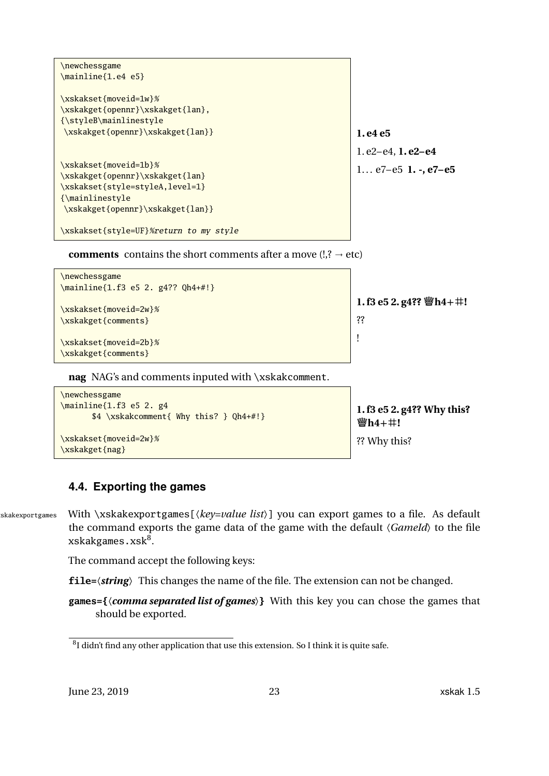```
\newchessgame
\mainline{1.e4 e5}
\xskakset{moveid=1w}%
\xskakget{opennr}\xskakget{lan},
{\styleB\mainlinestyle
\xskakget{opennr}\xskakget{lan}}
\xskakset{moveid=1b}%
\xskakget{opennr}\xskakget{lan}
\xskakset{style=styleA,level=1}
{\mainlinestyle
\xskakget{opennr}\xskakget{lan}}
\xskakset{style=UF}%return to my style
```

```
1. e4 e5
1. e2–e4, 1. e2–e4
1. . . e7–e5 1. -, e7–e5
```

```
comments contains the short comments after a move (l, ? \rightarrow etc)
```

```
\newchessgame
\mainline{1.f3 e5 2. g4?? Qh4+#!}
\xskakset{moveid=2w}%
\xskakget{comments}
\xskakset{moveid=2b}%
\xskakget{comments}
                                                                 1. f3 e5 2. g4?? Qh4+m!
                                                                 ??
                                                                 !
```
**nag** NAG's and comments inputed with \xskakcomment.

```
\newchessgame
\mainline{1.f3 e5 2. g4
      $4 \xskakcomment{ Why this? } Qh4+#!}
\xskakset{moveid=2w}%
\xskakget{nag}
```
**1. f3 e5 2. g4?? Why this? Qh4+m!** ?? Why this?

### <span id="page-22-0"></span>**4.4. Exporting the games**

skakexportgames With \xskakexportgames[ $\langle key=value list \rangle$ ] you can export games to a file. As default the command exports the game data of the game with the default 〈*GameId*〉 to the file xskakgames.xsk $^8\!$  $^8\!$  $^8\!$ .

The command accept the following keys:

**file=**〈*string*〉 This changes the name of the file. The extension can not be changed.

**games={**〈*comma separated list of games*〉**}** With this key you can chose the games that should be exported.

<span id="page-22-1"></span> ${}^{8}$ I didn't find any other application that use this extension. So I think it is quite safe.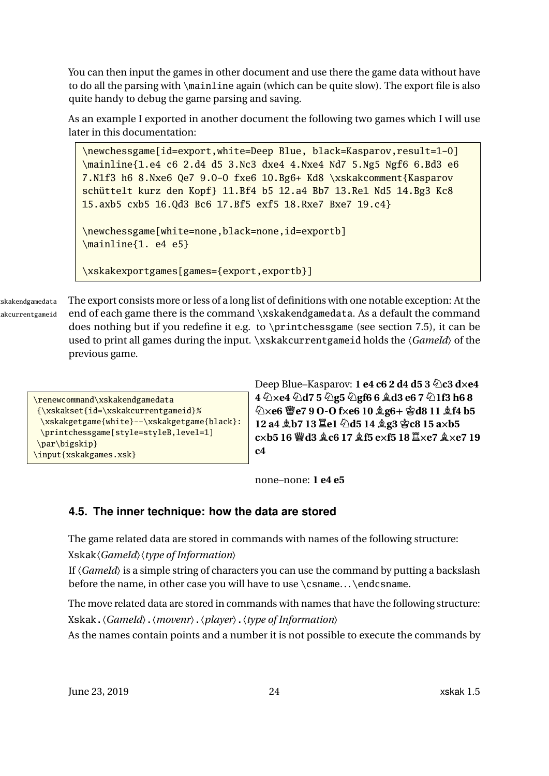<span id="page-23-1"></span>You can then input the games in other document and use there the game data without have to do all the parsing with \mainline again (which can be quite slow). The export file is also quite handy to debug the game parsing and saving.

As an example I exported in another document the following two games which I will use later in this documentation:

\newchessgame[id=export,white=Deep Blue, black=Kasparov,result=1-0] \mainline{1.e4 c6 2.d4 d5 3.Nc3 dxe4 4.Nxe4 Nd7 5.Ng5 Ngf6 6.Bd3 e6 7.N1f3 h6 8.Nxe6 Qe7 9.O-O fxe6 10.Bg6+ Kd8 \xskakcomment{Kasparov schüttelt kurz den Kopf} 11.Bf4 b5 12.a4 Bb7 13.Re1 Nd5 14.Bg3 Kc8 15.axb5 cxb5 16.Qd3 Bc6 17.Bf5 exf5 18.Rxe7 Bxe7 19.c4} \newchessgame[white=none,black=none,id=exportb] \mainline{1. e4 e5} \xskakexportgames[games={export,exportb}]

skakendgamedata The export consists more or less of a long list of definitions with one notable exception: At the akcurrentgameid end of each game there is the command \xskakendgamedata. As a default the command does nothing but if you redefine it e.g. to \printchessgame (see section [7.5\)](#page-47-0), it can be used to print all games during the input. \xskakcurrentgameid holds the 〈*GameId*〉 of the previous game.

**Deep Blue–Kasparov: 1 e4 c6 2 d4 d5 3**  $\&$  **c3 dxe4 4 NXe4 Nd7 5 Ng5 Ngf6 6 Bd3 e6 7 N1f3 h6 8 NXe6 Qe7 9 O-O fXe6 10 Bg6+ Kd8 11 Bf4 b5 12 a4 Bb7 13 Re1 Nd5 14 Bg3 Kc8 15 aXb5**  $c \times b$ **5 16**  $\ddot{\mathbf{w}}$ **d3**  $\&c$ **6 17**  $\&$  **f5**  $ecx$ **f5** 18  $\mathbb{E} \times c$ **7**  $\&c$   $\&c$   $\times c$ **7** 19 **c4**

none–none: **1 e4 e5**

### <span id="page-23-0"></span>**4.5. The inner technique: how the data are stored**

The game related data are stored in commands with names of the following structure:

Xskak〈*GameId*〉〈*type of Information*〉

If  $\langle Gamed \rangle$  is a simple string of characters you can use the command by putting a backslash before the name, in other case you will have to use \csname... \endcsname.

The move related data are stored in commands with names that have the following structure: Xskak.〈*GameId*〉.〈*movenr*〉.〈*player*〉.〈*type of Information*〉

As the names contain points and a number it is not possible to execute the commands by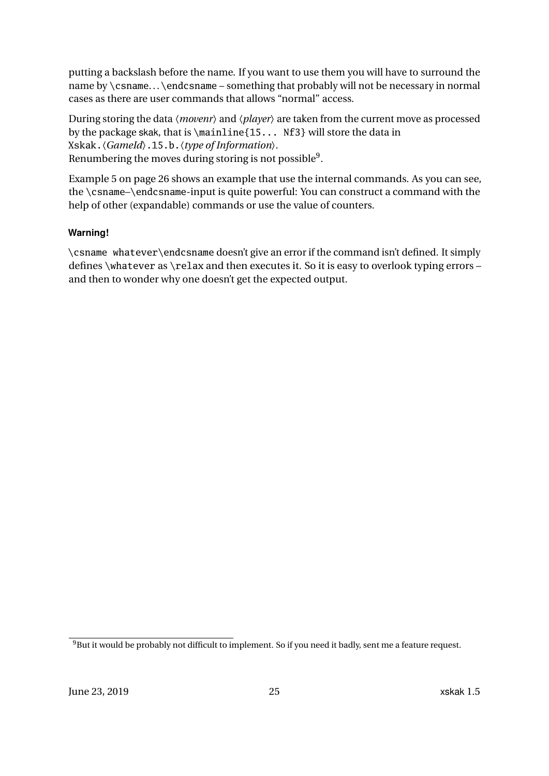putting a backslash before the name. If you want to use them you will have to surround the name by \csname... \endcsname – something that probably will not be necessary in normal cases as there are user commands that allows "normal" access.

During storing the data 〈*movenr*〉 and 〈*player*〉 are taken from the current move as processed by the package skak, that is \mainline{15... Nf3} will store the data in Xskak.〈*GameId*〉.15.b.〈*type of Information*〉. Renumbering the moves during storing is not possible $^9$  $^9$ .

Example [5](#page-25-0) on page [26](#page-25-0) shows an example that use the internal commands. As you can see, the \csname–\endcsname-input is quite powerful: You can construct a command with the help of other (expandable) commands or use the value of counters.

### **Warning!**

\csname whatever\endcsname doesn't give an error if the command isn't defined. It simply defines \whatever as \relax and then executes it. So it is easy to overlook typing errors – and then to wonder why one doesn't get the expected output.

<span id="page-24-0"></span><sup>&</sup>lt;sup>9</sup>But it would be probably not difficult to implement. So if you need it badly, sent me a feature request.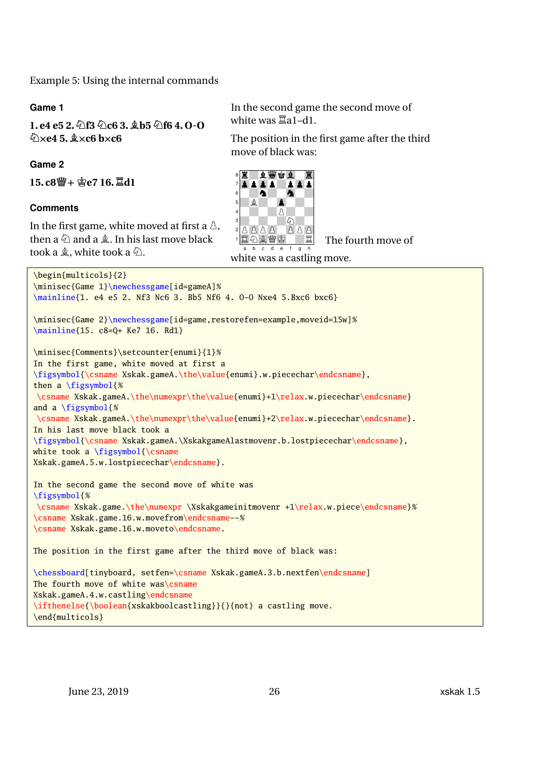<span id="page-25-0"></span>Example 5: Using the internal commands

#### **Game 1**

**1. e4 e5 2.Nf3 Nc6 3. Bb5 Nf6 4. O-O NXe4 5. BXc6 bXc6**

#### **Game 2**

 $15. c8$  響 + 曾e7 16.  $$ 

#### **Comments**

In the first game, white moved at first a  $\Delta$ , then a  $\&$  and a  $\&$ . In his last move black took a  $\triangle$ , white took a  $\triangle$ .

In the second game the second move of white was  $\Xi$ a1-d1.

The position in the first game after the third move of black was:



The fourth move of

```
\begin{multicols}{2}
\minisec{Game 1}\newchessgame[id=gameA]%
\mainline{1. e4 e5 2. Nf3 Nc6 3. Bb5 Nf6 4. 0-0 Nxe4 5.Bxc6 bxc6}
\minisec{Game 2}\newchessgame[id=game,restorefen=example,moveid=15w]%
\mainline{15. c8=Q+ Ke7 16. Rd1}
\minisec{Comments}\setcounter{enumi}{1}%
In the first game, white moved at first a
\figsymbol{\csname Xskak.gameA.\the\value{enumi}.w.piecechar\endcsname},
then a \figsymbol{%
\csname Xskak.gameA.\the\numexpr\the\value{enumi}+1\relax.w.piecechar\endcsname}
and a \figsymbol{%
\csname Xskak.gameA.\the\numexpr\the\value{enumi}+2\relax.w.piecechar\endcsname}.
In his last move black took a
\figsymbol{\csname Xskak.gameA.\XskakgameAlastmovenr.b.lostpiecechar\endcsname},
white took a \figsymbol{\times}Xskak.gameA.5.w.lostpiecechar\endcsname}.
In the second game the second move of white was
\figsymbol{%
\csname Xskak.game.\the\numexpr \Xskakgameinitmovenr +1\relax.w.piece\endcsname}%
\csname Xskak.game.16.w.movefrom\endcsname--%
\csname Xskak.game.16.w.moveto\endcsname.
The position in the first game after the third move of black was:
\chessboard[tinyboard, setfen=\csname Xskak.gameA.3.b.nextfen\endcsname]
The fourth move of white was\csname
Xskak.gameA.4.w.castling\endcsname
\ifthenelse{\boolean{xskakboolcastling}}{}{not} a castling move.
\end{multicols}
```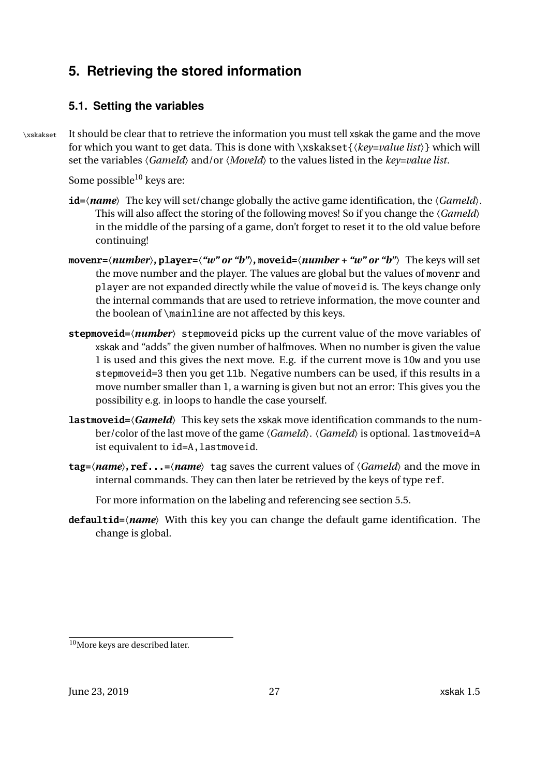# <span id="page-26-3"></span><span id="page-26-0"></span>**5. Retrieving the stored information**

### <span id="page-26-1"></span>**5.1. Setting the variables**

\xskakset It should be clear that to retrieve the information you must tell xskak the game and the move for which you want to get data. This is done with \xskakset{〈*key=value list*〉} which will set the variables 〈*GameId*〉 and/or 〈*MoveId*〉 to the values listed in the *key=value list*.

Some possible<sup>[10](#page-26-2)</sup> keys are:

- **id=**〈*name*〉 The key will set/change globally the active game identification, the 〈*GameId*〉. This will also affect the storing of the following moves! So if you change the 〈*GameId*〉 in the middle of the parsing of a game, don't forget to reset it to the old value before continuing!
- **movenr=**〈*number*〉**, player=**〈*"w" or "b"*〉**, moveid=**〈*number + "w" or "b"*〉 The keys will set the move number and the player. The values are global but the values of movenr and player are not expanded directly while the value of moveid is. The keys change only the internal commands that are used to retrieve information, the move counter and the boolean of \mainline are not affected by this keys.
- **stepmoveid=**〈*number*〉 stepmoveid picks up the current value of the move variables of xskak and "adds" the given number of halfmoves. When no number is given the value 1 is used and this gives the next move. E.g. if the current move is 10w and you use stepmoveid=3 then you get 11b. Negative numbers can be used, if this results in a move number smaller than 1, a warning is given but not an error: This gives you the possibility e.g. in loops to handle the case yourself.
- **lastmoveid=**〈*GameId*〉 This key sets the xskak move identification commands to the number/color of the last move of the game  $\langle Gameld \rangle$ .  $\langle Gameld \rangle$  is optional. lastmoveid=A ist equivalent to id=A, lastmoveid.
- **tag=**〈*name*〉**, ref...=**〈*name*〉 tag saves the current values of 〈*GameId*〉 and the move in internal commands. They can then later be retrieved by the keys of type ref.

For more information on the labeling and referencing see section [5.5.](#page-30-0)

**defaultid=**〈*name*〉 With this key you can change the default game identification. The change is global.

<span id="page-26-2"></span><sup>&</sup>lt;sup>10</sup>More keys are described later.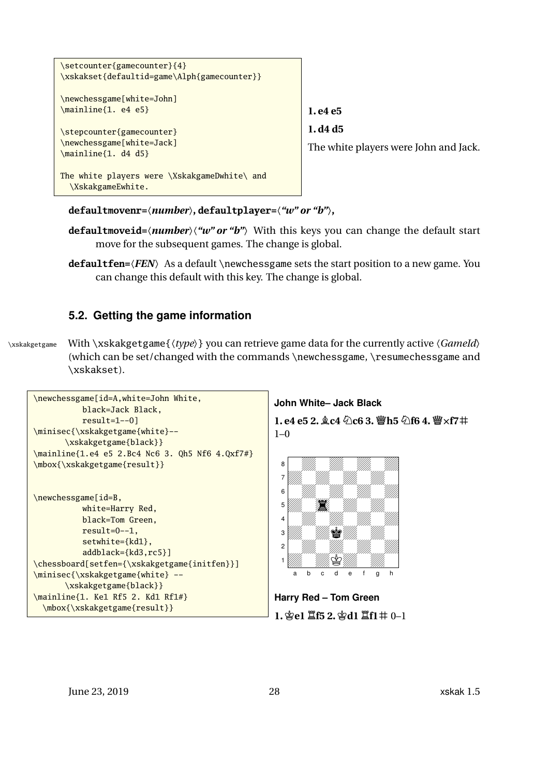<span id="page-27-1"></span>

**defaultmovenr=**〈*number*〉**, defaultplayer=**〈*"w" or "b"*〉**,**

- **defaultmoveid=**〈*number*〉〈*"w" or "b"*〉 With this keys you can change the default start move for the subsequent games. The change is global.
- **defaultfen=**〈*FEN*〉 As a default \newchessgame sets the start position to a new game. You can change this default with this key. The change is global.

### <span id="page-27-0"></span>**5.2. Getting the game information**

\xskakgetgame With \xskakgetgame{〈*type*〉} you can retrieve game data for the currently active 〈*GameId*〉 (which can be set/changed with the commands \newchessgame, \resumechessgame and \xskakset).



**John White– Jack Black**

 $1. e4 e5 2. \&c4 \&c6 3. \&thtext{h5} \< 4. \< \text{f7}$ #  $1-0$ 



**Harry Red – Tom Green 1.Ke1 Rf5 2.Kd1 Rf1m** 0–1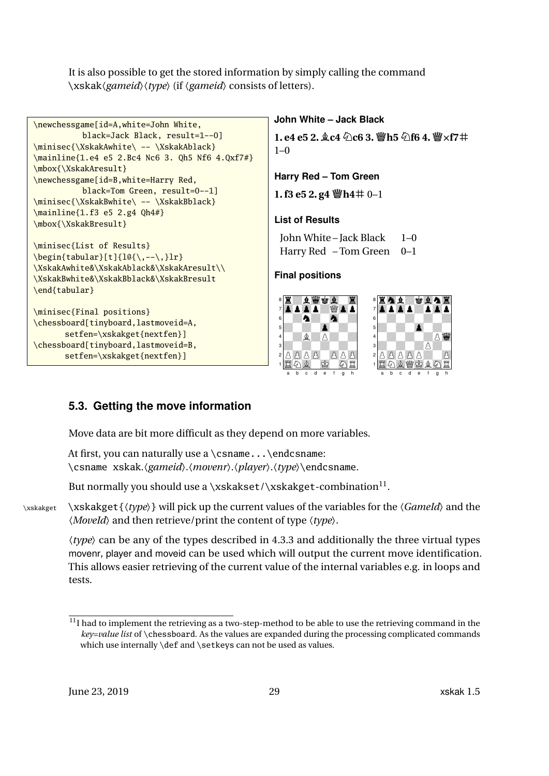<span id="page-28-2"></span>It is also possible to get the stored information by simply calling the command \xskak〈*gameid*〉〈*type*〉 (if 〈*gameid*〉 consists of letters).

```
\newchessgame[id=A,white=John White,
           black=Jack Black, result=1--0]
\minisec{\XskakAwhite\ -- \XskakAblack}
\mainline{1.e4 e5 2.Bc4 Nc6 3. Qh5 Nf6 4.Qxf7#}
\mbox{\XskakAresult}
\newchessgame[id=B,white=Harry Red,
           black=Tom Green, result=0--1]
\minisec{\XskakBwhite\ -- \XskakBblack}
\mainline{1.f3 e5 2.g4 Qh4#}
\mbox{\XskakBresult}
\minisec{List of Results}
\begin{equation*}\begin{equation*}\begin{equation*}\begin{equation*}\begin{equation*}\begin{equation*}\XskakAwhite&\XskakAblack&\XskakAresult\\
\XskakBwhite&\XskakBblack&\XskakBresult
\end{tabular}
\minisec{Final positions}
\chessboard[tinyboard,lastmoveid=A,
       setfen=\xskakget{nextfen}]
\chessboard[tinyboard,lastmoveid=B,
       setfen=\xskakget{nextfen}]
                                                      John White – Jack Black
                                                      1. e4 e5 2. \&c4 \&c6 3. \&thtext{h5} \< 4. \< r7 \#1 - 0Harry Red – Tom Green
                                                      1. f3 e5 2. g4 \ddot{\mathbf{w}} h4# 0–1
                                                      List of Results
                                                       John White – Jack Black 1–0
                                                       Harry Red - Tom Green 0-1
                                                      Final positions
                                                       8ezharreg e S
                                                       7 x a zoop
                                                       6 7an 2m
                                                       5 Z0Z0o Z0Z0z0o Z0Z0o Z0Z0o Z0Z0o
                                                       4 MAG
                                                       3 Z0Z0Z0Z0 2 BBC BBC
                                                       1 SNA0J0MR
                                                           b c d e f
                                                                                      8 rmbZkans 7 op a 2 op a 3 op a 3 op
                                                                             6 10. Million Million 19
                                                                             5 Z0Z0o Z0Z0z0Z0o
                                                                             4 23 Z0Z0ZPZ0 282281 SNAQJBMR
                                                                              a b c d e f g h
```
### <span id="page-28-0"></span>**5.3. Getting the move information**

Move data are bit more difficult as they depend on more variables.

```
At first, you can naturally use a \csname...\endcsname:
\csname xskak.〈gameid〉.〈movenr〉.〈player〉.〈type〉\endcsname.
```
But normally you should use a \xskakset/\xskakget-combination $^{\rm l1}.$ 

\xskakget \xskakget{〈*type*〉} will pick up the current values of the variables for the 〈*GameId*〉 and the 〈*MoveId*〉 and then retrieve/print the content of type 〈*type*〉.

〈*type*〉 can be any of the types described in [4.3.3](#page-19-0) and additionally the three virtual types movenr, player and moveid can be used which will output the current move identification. This allows easier retrieving of the current value of the internal variables e.g. in loops and tests.

<span id="page-28-1"></span> $11$ I had to implement the retrieving as a two-step-method to be able to use the retrieving command in the *key=value list* of \chessboard. As the values are expanded during the processing complicated commands which use internally \def and \setkeys can not be used as values.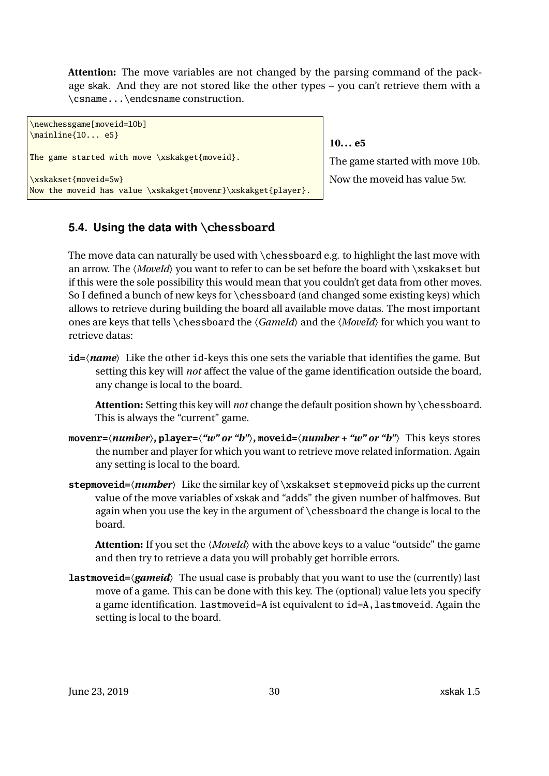<span id="page-29-1"></span>**Attention:** The move variables are not changed by the parsing command of the package skak. And they are not stored like the other types – you can't retrieve them with a \csname...\endcsname construction.

```
\newchessgame[moveid=10b]
\mainline{10... e5}
The game started with move \xskakget{moveid}.
\xskakset{moveid=5w}
Now the moveid has value \xskakget{movenr}\xskakget{player}.
```
### **10... e5**

The game started with move 10b. Now the moveid has value 5w.

### <span id="page-29-0"></span>**5.4. Using the data with \chessboard**

The move data can naturally be used with \chessboard e.g. to highlight the last move with an arrow. The *(MoveId)* you want to refer to can be set before the board with \xskakset but if this were the sole possibility this would mean that you couldn't get data from other moves. So I defined a bunch of new keys for \chessboard (and changed some existing keys) which allows to retrieve during building the board all available move datas. The most important ones are keys that tells \chessboard the 〈*GameId*〉 and the 〈*MoveId*〉 for which you want to retrieve datas:

**id=**〈*name*〉 Like the other id-keys this one sets the variable that identifies the game. But setting this key will *not* affect the value of the game identification outside the board, any change is local to the board.

**Attention:** Setting this key will *not* change the default position shown by \chessboard. This is always the "current" game.

- **movenr=**〈*number*〉**, player=**〈*"w" or "b"*〉**, moveid=**〈*number + "w" or "b"*〉 This keys stores the number and player for which you want to retrieve move related information. Again any setting is local to the board.
- **stepmoveid=**〈*number*〉 Like the similar key of \xskakset stepmoveid picks up the current value of the move variables of xskak and "adds" the given number of halfmoves. But again when you use the key in the argument of \chessboard the change is local to the board.

**Attention:** If you set the 〈*MoveId*〉 with the above keys to a value "outside" the game and then try to retrieve a data you will probably get horrible errors.

**lastmoveid=**〈*gameid*〉 The usual case is probably that you want to use the (currently) last move of a game. This can be done with this key. The (optional) value lets you specify a game identification. lastmoveid=A ist equivalent to id=A,lastmoveid. Again the setting is local to the board.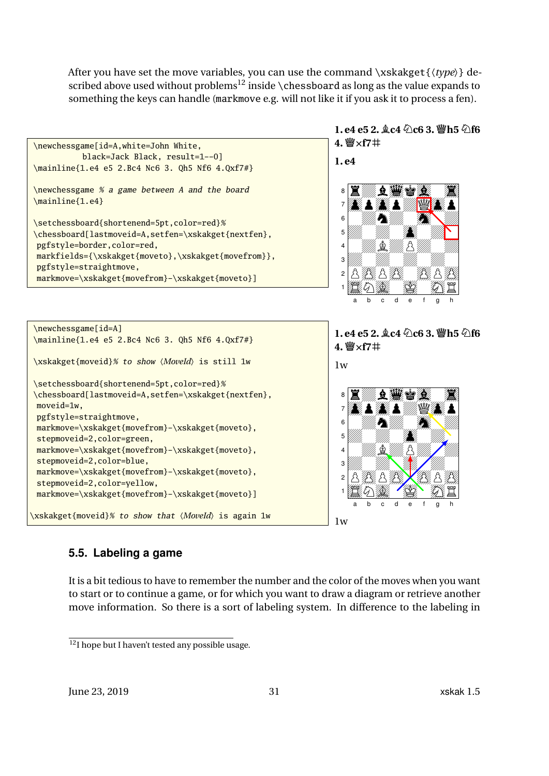<span id="page-30-2"></span>After you have set the move variables, you can use the command \xskakget{〈*type*〉} de-scribed above used without problems<sup>[12](#page-30-1)</sup> inside \chessboard as long as the value expands to something the keys can handle (markmove e.g. will not like it if you ask it to process a fen).



### <span id="page-30-0"></span>**5.5. Labeling a game**

It is a bit tedious to have to remember the number and the color of the moves when you want to start or to continue a game, or for which you want to draw a diagram or retrieve another move information. So there is a sort of labeling system. In difference to the labeling in

<span id="page-30-1"></span> $12$ I hope but I haven't tested any possible usage.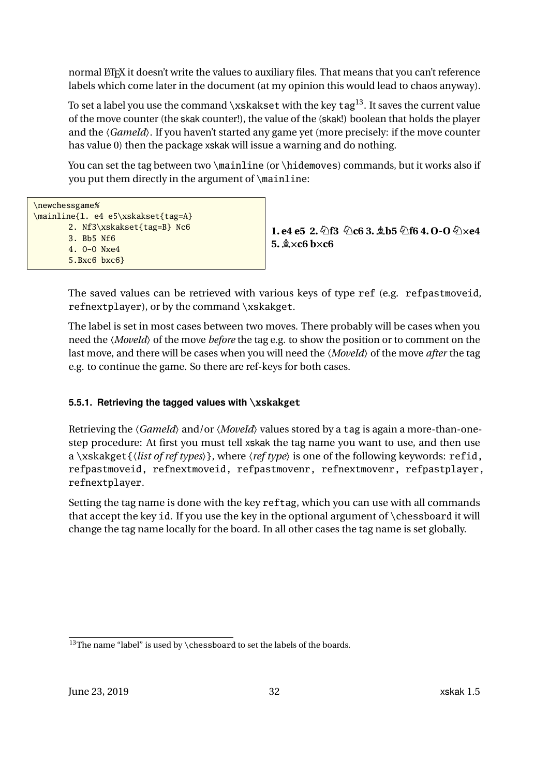<span id="page-31-2"></span>normal LATEX it doesn't write the values to auxiliary files. That means that you can't reference labels which come later in the document (at my opinion this would lead to chaos anyway).

To set a label you use the command \xskakset with the key tag<sup>[13](#page-31-1)</sup>. It saves the current value of the move counter (the skak counter!), the value of the (skak!) boolean that holds the player and the *(GameId)*. If you haven't started any game yet (more precisely: if the move counter has value 0) then the package xskak will issue a warning and do nothing.

You can set the tag between two \mainline (or \hidemoves) commands, but it works also if you put them directly in the argument of \mainline:

| \newchessgame%                     |
|------------------------------------|
| \mainline{1. e4 e5\xskakset{tag=A} |
| 2. Nf3\xskakset{tag=B} Nc6         |
| 3. Bb5 Nf6                         |
| 4. $0-0$ Nxe4                      |
| 5.Bxc6 bxc6                        |
|                                    |

 $1. e4 e5 2. \hat{\varnothing}$  f3  $\hat{\varnothing}$  c6 3.  $\hat{\varnothing}$  b5  $\hat{\varnothing}$  f6 4. O-O  $\hat{\varnothing}$  xe4  $5.\×$ **c6** b $\times$ **c6** 

The saved values can be retrieved with various keys of type ref (e.g. refpastmoveid, refnextplayer), or by the command \xskakget.

The label is set in most cases between two moves. There probably will be cases when you need the 〈*MoveId*〉 of the move *before* the tag e.g. to show the position or to comment on the last move, and there will be cases when you will need the 〈*MoveId*〉 of the move *after* the tag e.g. to continue the game. So there are ref-keys for both cases.

### <span id="page-31-0"></span>**5.5.1. Retrieving the tagged values with \xskakget**

Retrieving the  $\langle Gameld \rangle$  and/or  $\langle Moveld \rangle$  values stored by a tag is again a more-than-onestep procedure: At first you must tell xskak the tag name you want to use, and then use a \xskakget{〈*list of ref types*〉}, where 〈*ref type*〉 is one of the following keywords: refid, refpastmoveid, refnextmoveid, refpastmovenr, refnextmovenr, refpastplayer, refnextplayer.

Setting the tag name is done with the key reftag, which you can use with all commands that accept the key id. If you use the key in the optional argument of \chessboard it will change the tag name locally for the board. In all other cases the tag name is set globally.

<span id="page-31-1"></span><sup>&</sup>lt;sup>13</sup>The name "label" is used by \chessboard to set the labels of the boards.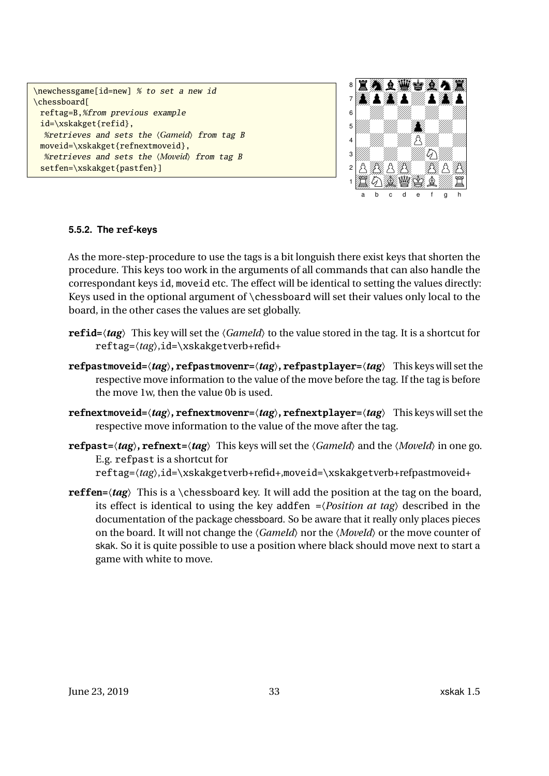```
\newchessgame[id=new] % to set a new id
\chessboard[
 reftag=B,%from previous example
 id=\xskakget{refid},
  %retrieves and sets the 〈Gameid〉 from tag B
 moveid=\xskakget{refnextmoveid},
  %retrieves and sets the 〈Moveid〉 from tag B
 setfen=\xskakget{pastfen}]
```


### <span id="page-32-0"></span>**5.5.2. The ref-keys**

As the more-step-procedure to use the tags is a bit longuish there exist keys that shorten the procedure. This keys too work in the arguments of all commands that can also handle the correspondant keys id, moveid etc. The effect will be identical to setting the values directly: Keys used in the optional argument of \chessboard will set their values only local to the board, in the other cases the values are set globally.

- **refid=** $\langle tag \rangle$  This key will set the  $\langle Gameld \rangle$  to the value stored in the tag. It is a shortcut for reftag=〈*tag*〉,id=\xskakgetverb+refid+
- **refpastmoveid=**〈*tag*〉**, refpastmovenr=**〈*tag*〉**, refpastplayer=**〈*tag*〉 This keys will set the respective move information to the value of the move before the tag. If the tag is before the move 1w, then the value 0b is used.
- **refnextmoveid=**〈*tag*〉**, refnextmovenr=**〈*tag*〉**, refnextplayer=**〈*tag*〉 This keys will set the respective move information to the value of the move after the tag.
- **refpast=** $\langle tag \rangle$ **, <b>refnext=** $\langle tag \rangle$  This keys will set the  $\langle Gameld \rangle$  and the  $\langle Moveld \rangle$  in one go. E.g. refpast is a shortcut for reftag=〈*tag*〉,id=\xskakgetverb+refid+,moveid=\xskakgetverb+refpastmoveid+
- **reffen=**〈*tag*〉 This is a \chessboard key. It will add the position at the tag on the board, its effect is identical to using the key addfen =〈*Position at tag*〉 described in the documentation of the package chessboard. So be aware that it really only places pieces on the board. It will not change the 〈*GameId*〉 nor the 〈*MoveId*〉 or the move counter of skak. So it is quite possible to use a position where black should move next to start a game with white to move.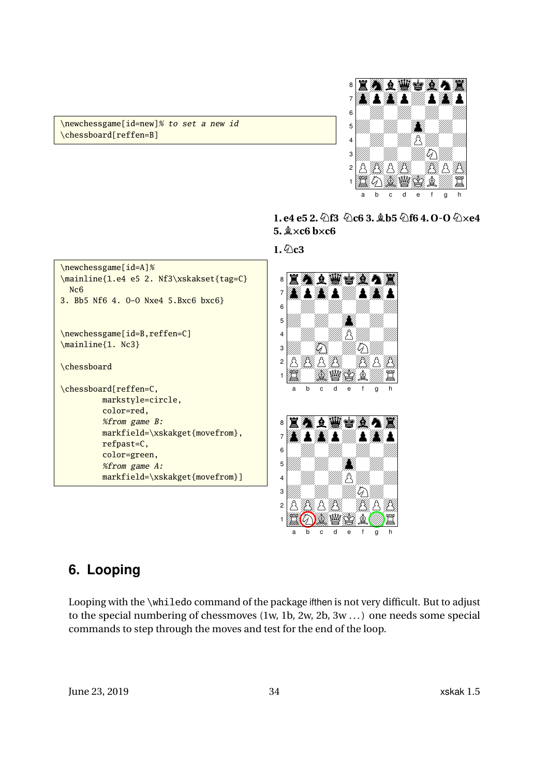\newchessgame[id=new]% to set a new id \chessboard[reffen=B]



- **1. e4 e5 2.Nf3 Nc6 3. Bb5 Nf6 4. O-O NXe4**  $5.$   $\×$ **c6** b $\times$ **c6**
- $1.6$ <sub>c</sub>3



### $1$   $\mathbb{Z}$   $\mathbb{O}$   $\mathbb{Z}$   $\mathbb{Z}$   $\mathbb{Z}$   $\mathbb{Z}$   $\mathbb{Z}$   $\mathbb{Z}$ a b c d e f g h

# <span id="page-33-0"></span>**6. Looping**

Looping with the \whiledo command of the package ifthen is not very difficult. But to adjust to the special numbering of chessmoves (1w, 1b, 2w, 2b, 3w ... ) one needs some special commands to step through the moves and test for the end of the loop.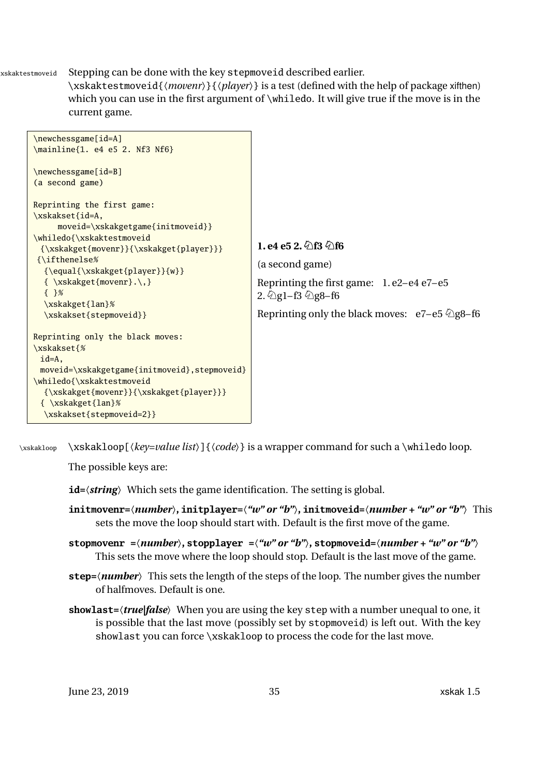\xskaktestmoveid Stepping can be done with the key stepmoveid described earlier.

<span id="page-34-0"></span>\xskaktestmoveid{〈*movenr*〉}{〈*player*〉} is a test (defined with the help of package xifthen) which you can use in the first argument of \whiledo. It will give true if the move is in the current game.



\xskakloop \xskakloop[\*key=value list*}]{\\cdote}} is a wrapper command for such a \whiledo loop.

The possible keys are:

**id=**〈*string*〉 Which sets the game identification. The setting is global.

- **initmovenr=**〈*number*〉**, initplayer=**〈*"w" or "b"*〉**, initmoveid=**〈*number + "w" or "b"*〉 This sets the move the loop should start with. Default is the first move of the game.
- **stopmovenr =**〈*number*〉**, stopplayer =**〈*"w" or "b"*〉**, stopmoveid=**〈*number + "w" or "b"*〉 This sets the move where the loop should stop. Default is the last move of the game.
- **step=**〈*number*〉 This sets the length of the steps of the loop. The number gives the number of halfmoves. Default is one.
- **showlast=**〈*true|false*〉 When you are using the key step with a number unequal to one, it is possible that the last move (possibly set by stopmoveid) is left out. With the key showlast you can force \xskakloop to process the code for the last move.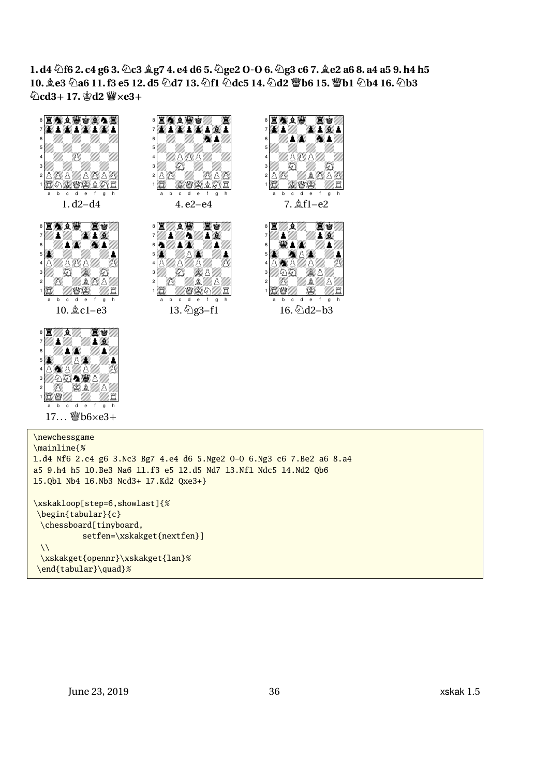**1. d4 Nf6 2. c4 g6 3.Nc3 Bg7 4. e4 d6 5.Nge2 O-O 6.Ng3 c6 7. Be2 a6 8. a4 a5 9. h4 h5 10. Be3 Na6 11. f3 e5 12. d5 Nd7 13.Nf1 Ndc5 14.Nd2 Qb6 15.Qb1 Nb4 16.Nb3**  $\Δ$ **cd3+17.** $\Δ$ **d2**  $\Δ$ **xe3+** 



\newchessgame \mainline{% 1.d4 Nf6 2.c4 g6 3.Nc3 Bg7 4.e4 d6 5.Nge2 O-O 6.Ng3 c6 7.Be2 a6 8.a4 a5 9.h4 h5 10.Be3 Na6 11.f3 e5 12.d5 Nd7 13.Nf1 Ndc5 14.Nd2 Qb6 15.Qb1 Nb4 16.Nb3 Ncd3+ 17.Kd2 Qxe3+} \xskakloop[step=6,showlast]{% \begin{tabular}{c} \chessboard[tinyboard, setfen=\xskakget{nextfen}]  $\sqrt{}$ \xskakget{opennr}\xskakget{lan}% \end{tabular}\quad}%

**o** 20<del>20 and 2020</del> B  $\otimes$   $2$   $\otimes$   $2$   $\otimes$  $\partial \partial \mathbf{A}$  ) 2 000 1 ZAZOV 2020 b c d e f g h  $17...$  @b6 $\times$ e3+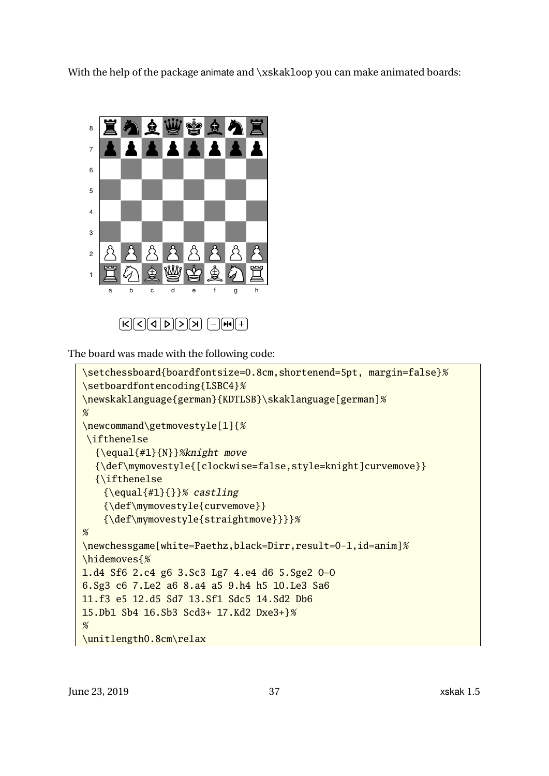With the help of the package animate and \xskakloop you can make animated boards:



The board was made with the following code:

```
\setchessboard{boardfontsize=0.8cm,shortenend=5pt, margin=false}%
\setboardfontencoding{LSBC4}%
\newskaklanguage{german}{KDTLSB}\skaklanguage[german]%
%
\newcommand\getmovestyle[1]{%
\ifthenelse
  {\equal{#1}{N}}%knight move
  {\def\mymovestyle{[clockwise=false,style=knight]curvemove}}
  {\ifthenelse
    {\begin{subarray}{c} {\equal{#1}{}}% castling
    {\def\mymovestyle{curvemove}}
    {\def\mymovestyle{straightmove}}}}%
%
\newchessgame[white=Paethz,black=Dirr,result=0-1,id=anim]%
\hidemoves{%
1.d4 Sf6 2.c4 g6 3.Sc3 Lg7 4.e4 d6 5.Sge2 O-O
6.Sg3 c6 7.Le2 a6 8.a4 a5 9.h4 h5 10.Le3 Sa6
11.f3 e5 12.d5 Sd7 13.Sf1 Sdc5 14.Sd2 Db6
15.Db1 Sb4 16.Sb3 Scd3+ 17.Kd2 Dxe3+}%
%
\unitlength0.8cm\relax
```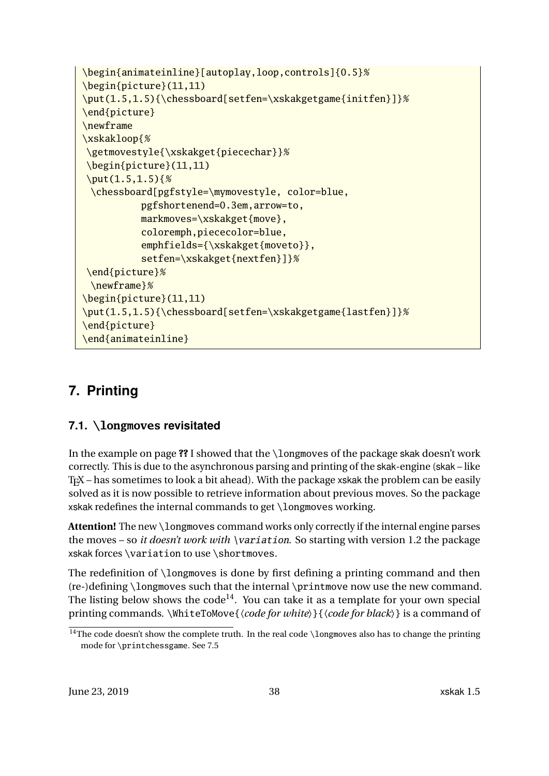```
\begin{animateinline}[autoplay,loop,controls]{0.5}%
\begin{picture}(11,11)
\put(1.5,1.5){\chessboard[setfen=\xskakgetgame{initfen}]}%
\end{picture}
\newframe
\xskakloop{%
\getmovestyle{\xskakget{piecechar}}%
\begin{picture}(11,11)
\put(1.5,1.5){%}\chessboard[pgfstyle=\mymovestyle, color=blue,
          pgfshortenend=0.3em,arrow=to,
          markmoves=\xskakget{move},
          coloremph,piececolor=blue,
          emphfields={\xskakget{moveto}},
          setfen=\xskakget{nextfen}]}%
\end{picture}%
 \newframe}%
\begin{picture}(11,11)
\put(1.5,1.5){\chessboard[setfen=\xskakgetgame{lastfen}]}%
\end{picture}
\end{animateinline}
```
# <span id="page-37-0"></span>**7. Printing**

### <span id="page-37-1"></span>**7.1. \longmoves revisitated**

In the example on page **??** I showed that the \longmoves of the package skak doesn't work correctly. This is due to the asynchronous parsing and printing of the skak-engine (skak – like TEX – has sometimes to look a bit ahead). With the package xskak the problem can be easily solved as it is now possible to retrieve information about previous moves. So the package xskak redefines the internal commands to get  $\lambda$ longmoves working.

Attention! The new \longmoves command works only correctly if the internal engine parses the moves – so *it doesn't work with* \variation. So starting with version 1.2 the package xskak forces \variation to use \shortmoves.

The redefinition of \longmoves is done by first defining a printing command and then (re-)defining \longmoves such that the internal \printmove now use the new command. The listing below shows the code<sup>[14](#page-37-2)</sup>. You can take it as a template for your own special printing commands. \WhiteToMove{〈*code for white*〉}{〈*code for black*〉} is a command of

<span id="page-37-2"></span><sup>&</sup>lt;sup>14</sup>The code doesn't show the complete truth. In the real code \longmoves also has to change the printing mode for \printchessgame. See [7.5](#page-47-0)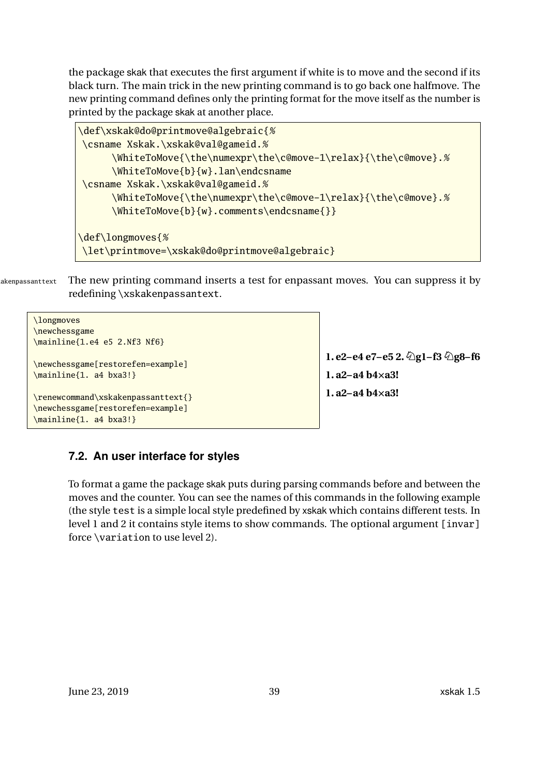<span id="page-38-1"></span>the package skak that executes the first argument if white is to move and the second if its black turn. The main trick in the new printing command is to go back one halfmove. The new printing command defines only the printing format for the move itself as the number is printed by the package skak at another place.

```
\def\xskak@do@printmove@algebraic{%
\csname Xskak.\xskak@val@gameid.%
     \WhiteToMove{\the\numexpr\the\c@move-1\relax}{\the\c@move}.%
     \WhiteToMove{b}{w}.lan\endcsname
\csname Xskak.\xskak@val@gameid.%
     \WhiteToMove{\the\numexpr\the\c@move-1\relax}{\the\c@move}.%
     \WhiteToMove{b}{w}.comments\endcsname{}}
\def\longmoves{%
\let\printmove=\xskak@do@printmove@algebraic}
```
akenpassanttext The new printing command inserts a test for enpassant moves. You can suppress it by redefining \xskakenpassantext.

```
\longmoves
\newchessgame
\mainline{1.e4 e5 2.Nf3 Nf6}
\newchessgame[restorefen=example]
\mainline{1. a4 bxa3!}
\renewcommand\xskakenpassanttext{}
\newchessgame[restorefen=example]
\mainline{1. a4 bxa3!}
```
**1. e2–e4 e7–e5 2.**  $\Ω$ **g1–f3**  $\Ω$ **g8–f6 1. a2–a4 b4Xa3! 1. a2–a4 b4Xa3!**

### <span id="page-38-0"></span>**7.2. An user interface for styles**

To format a game the package skak puts during parsing commands before and between the moves and the counter. You can see the names of this commands in the following example (the style test is a simple local style predefined by xskak which contains different tests. In level 1 and 2 it contains style items to show commands. The optional argument [invar] force \variation to use level 2).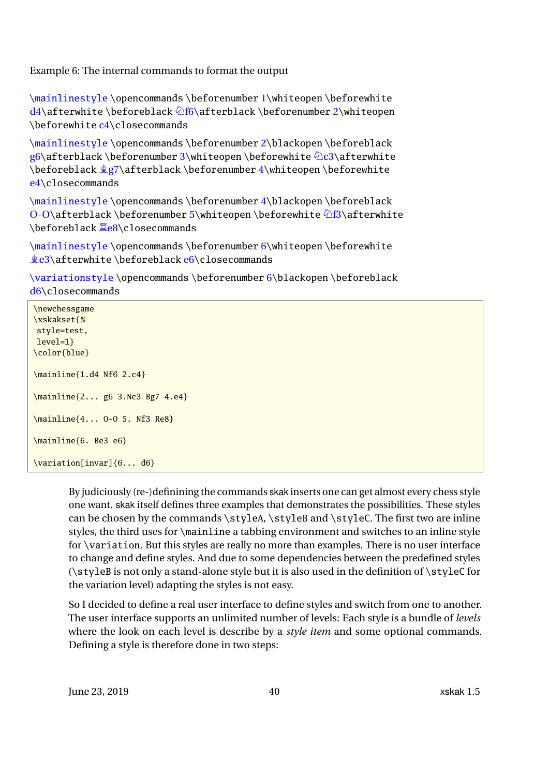<span id="page-39-0"></span>Example 6: The internal commands to format the output

\mainlinestyle \opencommands \beforenumber 1\whiteopen \beforewhite  $d4\$ afterwhite \beforeblack \f6\afterblack \beforenumber 2\whiteopen \beforewhite c4\closecommands

\mainlinestyle \opencommands \beforenumber 2\blackopen \beforeblack  $g6\alpha$ terblack \beforenumber 3\whiteopen \beforewhite  $\alpha$ c3\afterwhite \beforeblack Bg7\afterblack \beforenumber 4\whiteopen \beforewhite e4\closecommands

\mainlinestyle \opencommands \beforenumber 4\blackopen \beforeblack O-O\afterblack \beforenumber 5\whiteopen \beforewhite  $\delta$ \safterwhite \beforeblack **Ee8\closecommands** 

\mainlinestyle\opencommands\beforenumber 6\whiteopen\beforewhite  $\&e3\afterwhite \before black e6\closecommands$ 

\variationstyle \opencommands \beforenumber 6\blackopen \beforeblack d6\closecommands

\newchessgame \xskakset{% style=test, level=1} \color{blue} \mainline{1.d4 Nf6 2.c4} \mainline{2... g6 3.Nc3 Bg7 4.e4} \mainline{4... O-O 5. Nf3 Re8} \mainline{6. Be3 e6} \variation[invar]{6... d6}

> By judiciously (re-)definining the commands skak inserts one can get almost every chess style one want. skak itself defines three examples that demonstrates the possibilities. These styles can be chosen by the commands \styleA, \styleB and \styleC. The first two are inline styles, the third uses for \mainline a tabbing environment and switches to an inline style for \variation. But this styles are really no more than examples. There is no user interface to change and define styles. And due to some dependencies between the predefined styles (\styleB is not only a stand-alone style but it is also used in the definition of \styleC for the variation level) adapting the styles is not easy.

> So I decided to define a real user interface to define styles and switch from one to another. The user interface supports an unlimited number of levels: Each style is a bundle of *levels* where the look on each level is describe by a *style item* and some optional commands. Defining a style is therefore done in two steps: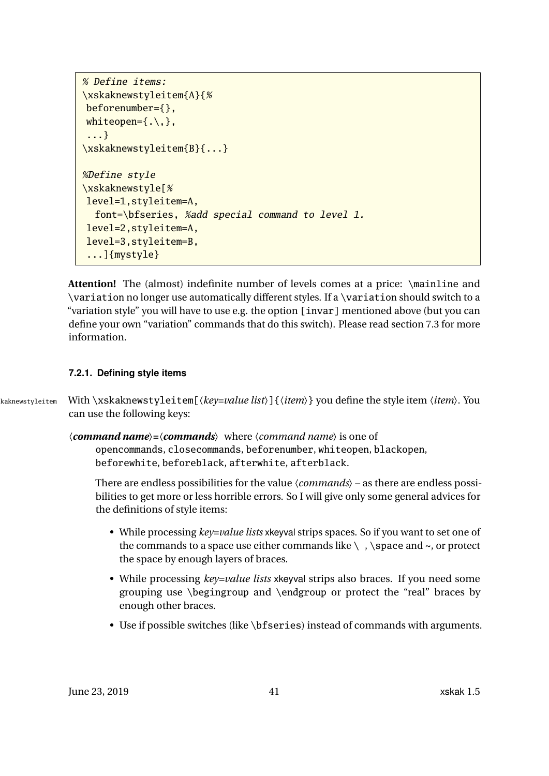```
% Define items:
\xskaknewstyleitem{A}{%
beforenumber={},
whiteopen=\{\,.\,\setminus\,,\},
 ...}
\xskaknewstyleitem{B}{...}
%Define style
\xskaknewstyle[%
level=1,styleitem=A,
  font=\bfseries, %add special command to level 1.
level=2,styleitem=A,
level=3,styleitem=B,
 ...]{mystyle}
```
**Attention!** The (almost) indefinite number of levels comes at a price: \mainline and \variation no longer use automatically different styles. If a \variation should switch to a "variation style" you will have to use e.g. the option [invar] mentioned above (but you can define your own "variation" commands that do this switch). Please read section [7.3](#page-45-0) for more information.

#### <span id="page-40-0"></span>**7.2.1. Defining style items**

\xskaknewstyleitem With \xskaknewstyleitem[〈*key=value list*〉]{〈*item*〉} you define the style item 〈*item*〉. You can use the following keys:

> 〈*command name*〉**=**〈*commands*〉 where 〈*command name*〉 is one of opencommands, closecommands, beforenumber, whiteopen, blackopen, beforewhite, beforeblack, afterwhite, afterblack.

There are endless possibilities for the value 〈*commands*〉 – as there are endless possibilities to get more or less horrible errors. So I will give only some general advices for the definitions of style items:

- While processing *key=value lists* xkeyval strips spaces. So if you want to set one of the commands to a space use either commands like  $\setminus$ ,  $\space$  \space and  $\sim$ , or protect the space by enough layers of braces.
- While processing *key=value lists* xkeyval strips also braces. If you need some grouping use \begingroup and \endgroup or protect the "real" braces by enough other braces.
- Use if possible switches (like \bfseries) instead of commands with arguments.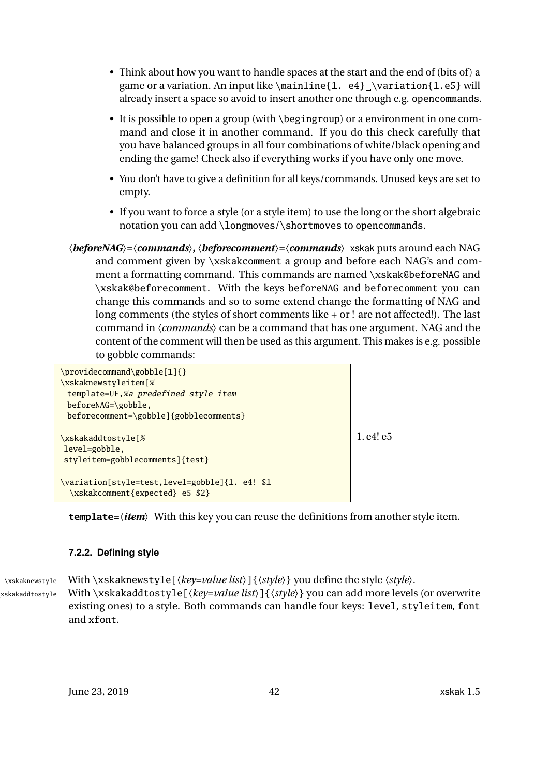- <span id="page-41-1"></span>• Think about how you want to handle spaces at the start and the end of (bits of) a game or a variation. An input like \mainline{1. e4} \variation{1.e5} will already insert a space so avoid to insert another one through e.g. opencommands.
- It is possible to open a group (with \begingroup) or a environment in one command and close it in another command. If you do this check carefully that you have balanced groups in all four combinations of white/black opening and ending the game! Check also if everything works if you have only one move.
- You don't have to give a definition for all keys/commands. Unused keys are set to empty.
- If you want to force a style (or a style item) to use the long or the short algebraic notation you can add \longmoves/\shortmoves to opencommands.
- 〈*beforeNAG*〉**=**〈*commands*〉**,** 〈*beforecomment*〉**=**〈*commands*〉 xskak puts around each NAG and comment given by \xskakcomment a group and before each NAG's and comment a formatting command. This commands are named \xskak@beforeNAG and \xskak@beforecomment. With the keys beforeNAG and beforecomment you can change this commands and so to some extend change the formatting of NAG and long comments (the styles of short comments like + or ! are not affected!). The last command in 〈*commands*〉 can be a command that has one argument. NAG and the content of the comment will then be used as this argument. This makes is e.g. possible to gobble commands:

```
\providecommand\gobble[1]{}
\xskaknewstyleitem[%
 template=UF,%a predefined style item
 beforeNAG=\gobble,
 beforecomment=\gobble]{gobblecomments}
\xskakaddtostyle[%
level=gobble,
styleitem=gobblecomments]{test}
\variation[style=test,level=gobble]{1. e4! $1
 \xskakcomment{expected} e5 $2}
                                                                1. e4! e5
```
**template=**〈*item*〉 With this key you can reuse the definitions from another style item.

### <span id="page-41-0"></span>**7.2.2. Defining style**

\xskaknewstyle With \xskaknewstyle[〈*key=value list*〉]{〈*style*〉} you define the style 〈*style*〉.

\xskakaddtostyle With \xskakaddtostyle[〈*key=value list*〉]{〈*style*〉} you can add more levels (or overwrite existing ones) to a style. Both commands can handle four keys: level, styleitem, font and xfont.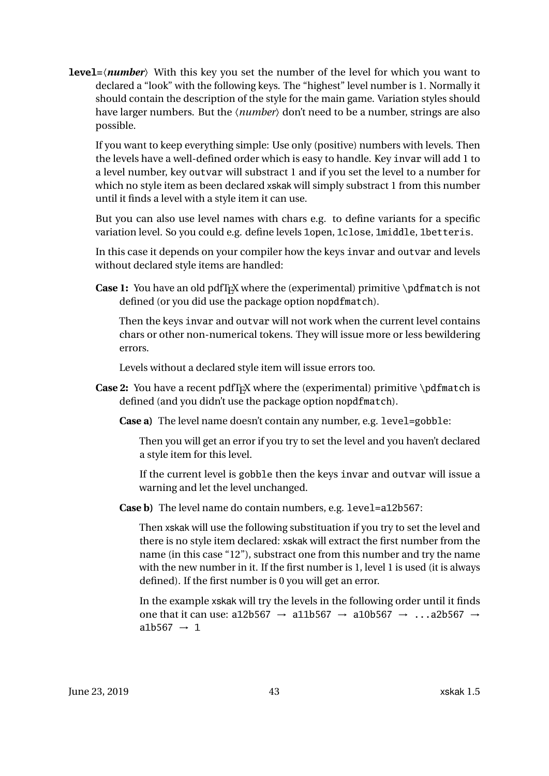<span id="page-42-0"></span>**level=**〈*number*〉 With this key you set the number of the level for which you want to declared a "look" with the following keys. The "highest" level number is 1. Normally it should contain the description of the style for the main game. Variation styles should have larger numbers. But the  $\langle number \rangle$  don't need to be a number, strings are also possible.

If you want to keep everything simple: Use only (positive) numbers with levels. Then the levels have a well-defined order which is easy to handle. Key invar will add 1 to a level number, key outvar will substract 1 and if you set the level to a number for which no style item as been declared xskak will simply substract 1 from this number until it finds a level with a style item it can use.

But you can also use level names with chars e.g. to define variants for a specific variation level. So you could e.g. define levels 1open, 1close, 1middle, 1betteris.

In this case it depends on your compiler how the keys invar and outvar and levels without declared style items are handled:

**Case 1:** You have an old pdfT<sub>E</sub>X where the (experimental) primitive \pdfmatch is not defined (or you did use the package option nopdfmatch).

Then the keys invar and outvar will not work when the current level contains chars or other non-numerical tokens. They will issue more or less bewildering errors.

Levels without a declared style item will issue errors too.

- **Case 2:** You have a recent pdfT<sub>E</sub>X where the (experimental) primitive \pdfmatch is defined (and you didn't use the package option nopdfmatch).
	- **Case a)** The level name doesn't contain any number, e.g. level=gobble:

Then you will get an error if you try to set the level and you haven't declared a style item for this level.

If the current level is gobble then the keys invar and outvar will issue a warning and let the level unchanged.

**Case b)** The level name do contain numbers, e.g. level=a12b567:

Then xskak will use the following substituation if you try to set the level and there is no style item declared: xskak will extract the first number from the name (in this case "12"), substract one from this number and try the name with the new number in it. If the first number is 1, level 1 is used (it is always defined). If the first number is 0 you will get an error.

In the example xskak will try the levels in the following order until it finds one that it can use: a12b567  $\rightarrow$  a11b567  $\rightarrow$  a10b567  $\rightarrow$  ...a2b567  $\rightarrow$ a1b567  $\rightarrow$  1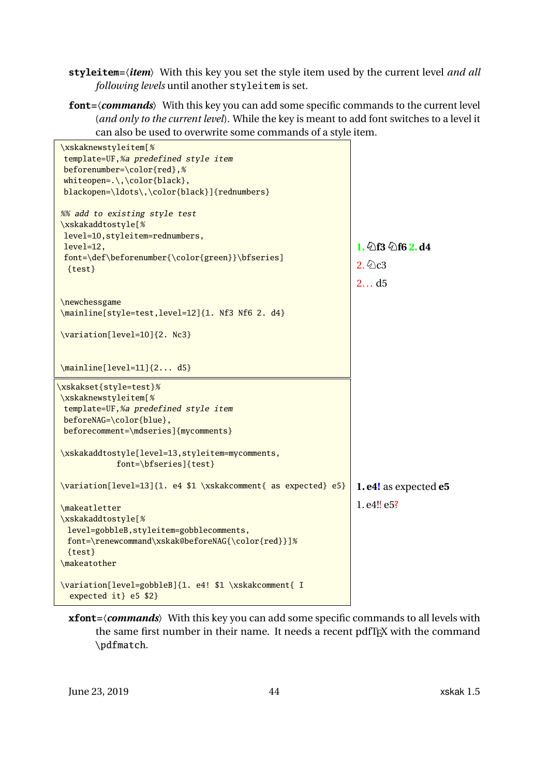<span id="page-43-0"></span>**styleitem=**〈*item*〉 With this key you set the style item used by the current level *and all following levels* until another styleitem is set.

**font=**〈*commands*〉 With this key you can add some specific commands to the current level (*and only to the current level*). While the key is meant to add font switches to a level it can also be used to overwrite some commands of a style item.

| \xskaknewstyleitem[%<br>template=UF,%a predefined style item<br>beforenumber=\color{red},%<br>whiteopen= $.\,\,\,\$ color{black},<br>blackopen=\ldots\,\color{black}]{rednumbers} |                                          |
|-----------------------------------------------------------------------------------------------------------------------------------------------------------------------------------|------------------------------------------|
| %% add to existing style test<br>\xskakaddtostyle[%<br>level=10, styleitem=rednumbers,<br>level=12,<br>font=\def\beforenumber{\color{green}}\bfseries]<br>${test}$                | 1. $263$ $2d$ $d$ $d$<br>$2.$ 2c3<br>2d5 |
| \newchessgame<br>\mainline[style=test,level=12]{1. Nf3 Nf6 2. d4}<br>\variation[level=10]{2. Nc3}                                                                                 |                                          |
| \mainline[level=11]{2 d5}<br>\xskakset{style=test}%                                                                                                                               |                                          |
| \xskaknewstyleitem[%<br>template=UF,%a predefined style item<br>beforeNAG=\color{blue},<br>beforecomment=\mdseries]{mycomments}                                                   |                                          |
| \xskakaddtostyle[level=13,styleitem=mycomments,<br>font=\bfseries]{test}                                                                                                          |                                          |
| \variation[level=13]{1. e4 \$1 \xskakcomment{ as expected} e5}                                                                                                                    | 1. e4! as expected e5                    |
| \makeatletter<br>\xskakaddtostyle[%<br>level=gobbleB, styleitem=gobblecomments,<br>font=\renewcommand\xskak@beforeNAG{\color{red}}]%<br>${test}$<br>\makeatother                  | 1. e4!! e5?                              |
| \variation[level=gobbleB]{1. e4! \$1 \xskakcomment{ I<br>expected it} e5 \$2}                                                                                                     |                                          |

**xfont=**〈*commands*〉 With this key you can add some specific commands to all levels with the same first number in their name. It needs a recent pdfTEX with the command \pdfmatch.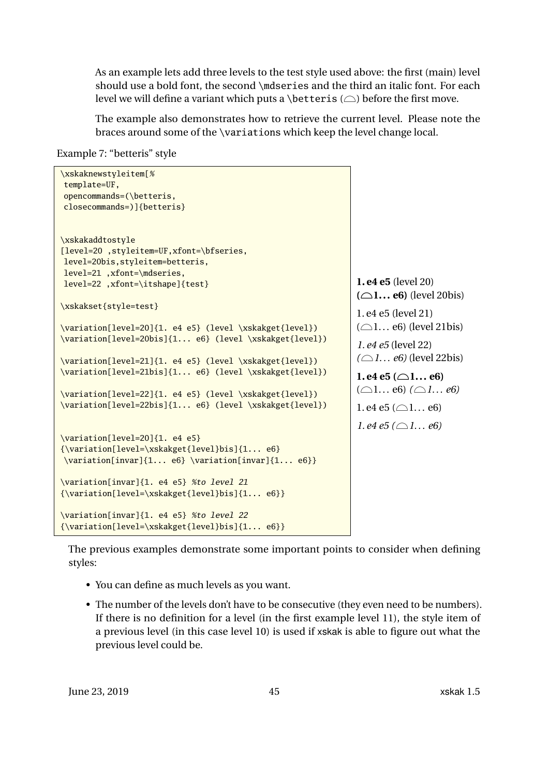As an example lets add three levels to the test style used above: the first (main) level should use a bold font, the second \mdseries and the third an italic font. For each level we will define a variant which puts a \betteris  $(\bigcirc)$  before the first move.

The example also demonstrates how to retrieve the current level. Please note the braces around some of the \variations which keep the level change local.

Example 7: "betteris" style

```
\xskaknewstyleitem[%
template=UF,
opencommands=(\betteris,
closecommands=)]{betteris}
\xskakaddtostyle
[level=20 ,styleitem=UF,xfont=\bfseries,
level=20bis,styleitem=betteris,
level=21 ,xfont=\mdseries,
level=22 ,xfont=\itshape]{test}
\xskakset{style=test}
\variation[level=20]{1. e4 e5} (level \xskakget{level})
\variation[level=20bis]{1... e6} (level \xskakget{level})
\variation[level=21]{1. e4 e5} (level \xskakget{level})
\variation[level=21bis]{1... e6} (level \xskakget{level})
\variation[level=22]{1. e4 e5} (level \xskakget{level})
\variation[level=22bis]{1... e6} (level \xskakget{level})
\variation[level=20]{1. e4 e5}
{\variation[level=\xskakget{level}bis]{1... e6}
\variation[invar]{1... e6} \variation[invar]{1... e6}}
\variation[invar]{1. e4 e5} %to level 21
{\variation[level=\xskakget{level}bis]{1... e6}}
\variation[invar]{1. e4 e5} %to level 22
{\variation[level=\xskakget{level}bis]{1... e6}}
                                                                    1. e4 e5 (level 20)
                                                                    (\bigcirc1... e6) (level 20bis)
                                                                    1. e4 e5 (level 21)
                                                                    (\bigcirc 1... e6) (level 21bis)
                                                                    1. e4 e5 (level 22)
                                                                    (\bigcirc 1... e6) (level 22bis)
                                                                    1. e4 e5 (\bigcirc1... e6)
                                                                    (\bigcirc 1... e6) (\bigcirc 1... e6)
                                                                    1. e4 e5 (\bigcirc1... e6)
                                                                    1. e4 e5 (\bigcirc1... e6)
```
The previous examples demonstrate some important points to consider when defining styles:

- You can define as much levels as you want.
- The number of the levels don't have to be consecutive (they even need to be numbers). If there is no definition for a level (in the first example level 11), the style item of a previous level (in this case level 10) is used if xskak is able to figure out what the previous level could be.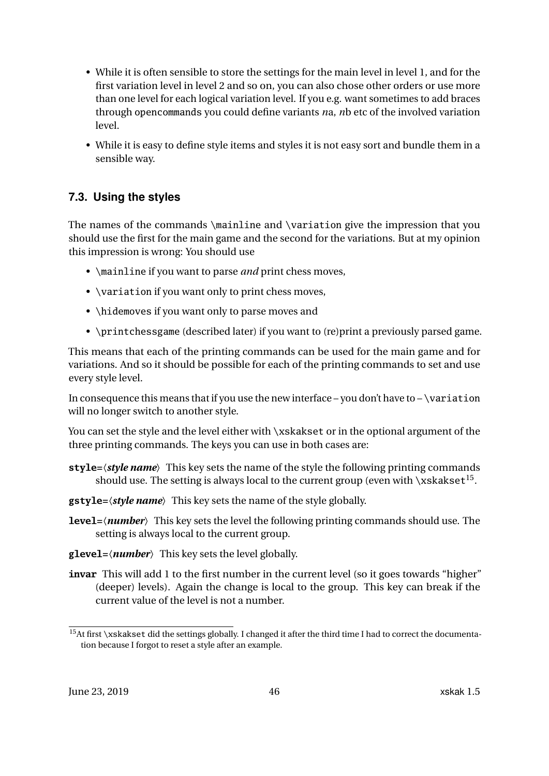- <span id="page-45-2"></span>• While it is often sensible to store the settings for the main level in level 1, and for the first variation level in level 2 and so on, you can also chose other orders or use more than one level for each logical variation level. If you e.g. want sometimes to add braces through opencommands you could define variants *n*a, *n*b etc of the involved variation level.
- While it is easy to define style items and styles it is not easy sort and bundle them in a sensible way.

### <span id="page-45-0"></span>**7.3. Using the styles**

The names of the commands \mainline and \variation give the impression that you should use the first for the main game and the second for the variations. But at my opinion this impression is wrong: You should use

- \mainline if you want to parse *and* print chess moves,
- \variation if you want only to print chess moves,
- \hidemoves if you want only to parse moves and
- \printchessgame (described later) if you want to (re)print a previously parsed game.

This means that each of the printing commands can be used for the main game and for variations. And so it should be possible for each of the printing commands to set and use every style level.

In consequence this means that if you use the new interface – you don't have to –  $\varphi$  ariation will no longer switch to another style.

You can set the style and the level either with \xskakset or in the optional argument of the three printing commands. The keys you can use in both cases are:

- **style=**〈*style name*〉 This key sets the name of the style the following printing commands should use. The setting is always local to the current group (even with \xskakse $\mathsf{t}^{15}$  $\mathsf{t}^{15}$  $\mathsf{t}^{15}$ .
- **gstyle=**〈*style name*〉 This key sets the name of the style globally.
- **level=**〈*number*〉 This key sets the level the following printing commands should use. The setting is always local to the current group.
- **glevel=**〈*number*〉 This key sets the level globally.
- **invar** This will add 1 to the first number in the current level (so it goes towards "higher" (deeper) levels). Again the change is local to the group. This key can break if the current value of the level is not a number.

<span id="page-45-1"></span><sup>&</sup>lt;sup>15</sup>At first \xskakset did the settings globally. I changed it after the third time I had to correct the documentation because I forgot to reset a style after an example.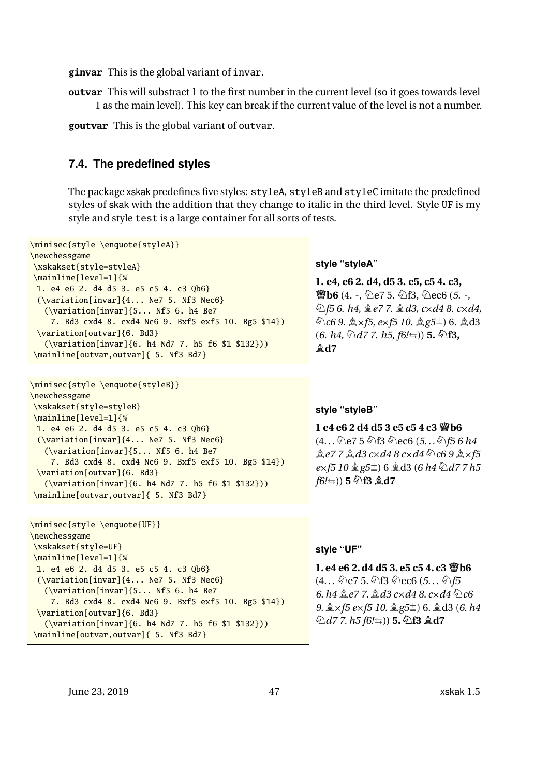<span id="page-46-1"></span>**ginvar** This is the global variant of invar.

**outvar** This will substract 1 to the first number in the current level (so it goes towards level) 1 as the main level). This key can break if the current value of the level is not a number.

**goutvar** This is the global variant of outvar.

#### <span id="page-46-0"></span>**7.4. The predefined styles**

The package xskak predefines five styles: styleA, styleB and styleC imitate the predefined styles of skak with the addition that they change to italic in the third level. Style UF is my style and style test is a large container for all sorts of tests.

```
\minisec{style \enquote{styleA}}
\newchessgame
\xskakset{style=styleA}
\mainline[level=1]{%
 1. e4 e6 2. d4 d5 3. e5 c5 4. c3 Qb6}
 (\variation[invar]{4... Ne7 5. Nf3 Nec6}
   (\variation[invar]{5... Nf5 6. h4 Be7
    7. Bd3 cxd4 8. cxd4 Nc6 9. Bxf5 exf5 10. Bg5 $14})
 \variation[outvar]{6. Bd3}
   (\variation[invar]{6. h4 Nd7 7. h5 f6 $1 $132}))
\mainline[outvar,outvar]{ 5. Nf3 Bd7}
                                                                     style "styleA"
                                                                     1. e4, e6 2. d4, d5 3. e5, c5 4. c3,
                                                                     響b6 (4. -, ⑦e7 5. ②f3, ②ec6 (5. -,
                                                                     Nf5 6. h4, Be7 7. Bd3, cXd4 8. cXd4,
                                                                     ⊘c6 9. a × f5, e× f5 10. a g5<sup>±</sup>) 6. a d3
                                                                     (6. h4, \text{\textcircled{2}}d77. h5, f6! \implies) 5. \text{\textcircled{2}}f3,Bd7
\minisec{style \enquote{styleB}}
```
**style "styleB"**

**1 e4 e6 2 d4 d5 3 e5 c5 4 c3 Qb6**  $(4...$  he7 5 hf3 hec6  $(5...$  hf5 6 h4  $\&e77\&d3 \c{c} \times d4 \&c \times d4 \&c6 \&d \times f5$ *e*×*f5* 10 *gg5***<sup>** $\pm$ **</sup>) 6 <b>***gd3* (6 *h4*  $\&$ *d7* 7 *h5 f6!*V)) **5 Nf3 Bd7**

**style "UF"**

**1. e4 e6 2. d4 d5 3. e5 c5 4. c3 響b6**  $(4...$  ①e7 5. ①f3 ①ec6 (5... ②f5 *6. h4*  $\angle$  *e7 7.*  $\angle$  *d3 c*×*d4 8. c*×*d4* ①*c6 9.*  $\×$  *f5 ex f5 10.*  $\×$  *g5* $\pm$ ) 6.  $\×$  d3 (*6. h4*  $\Diamond d7$  7. *h*5 *f*6!≒)) **5.**  $\Diamond$ **f3** *<u></u>***d7** 

\minisec{style \enquote{UF}} \newchessgame \xskakset{style=UF} \mainline[level=1]{% 1. e4 e6 2. d4 d5 3. e5 c5 4. c3 Qb6} (\variation[invar]{4... Ne7 5. Nf3 Nec6} (\variation[invar]{5... Nf5 6. h4 Be7 7. Bd3 cxd4 8. cxd4 Nc6 9. Bxf5 exf5 10. Bg5 \$14}) \variation[outvar]{6. Bd3} (\variation[invar]{6. h4 Nd7 7. h5 f6 \$1 \$132})) \mainline[outvar,outvar]{ 5. Nf3 Bd7}

7. Bd3 cxd4 8. cxd4 Nc6 9. Bxf5 exf5 10. Bg5 \$14})

(\variation[invar]{6. h4 Nd7 7. h5 f6 \$1 \$132}))

June 23, 2019 47 xskak 1.5

\newchessgame

\xskakset{style=styleB} \mainline[level=1]{%

\variation[outvar]{6. Bd3}

1. e4 e6 2. d4 d5 3. e5 c5 4. c3 Qb6} (\variation[invar]{4... Ne7 5. Nf3 Nec6} (\variation[invar]{5... Nf5 6. h4 Be7

\mainline[outvar,outvar]{ 5. Nf3 Bd7}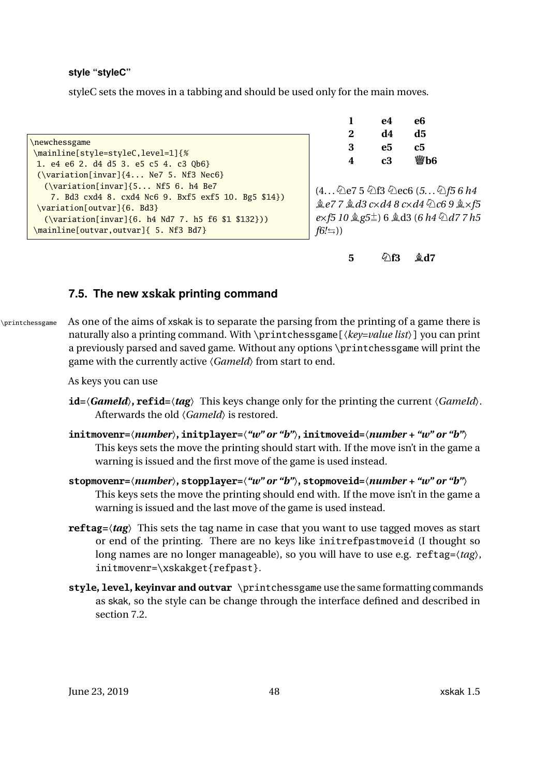#### <span id="page-47-1"></span>**style "styleC"**

styleC sets the moves in a tabbing and should be used only for the main moves.

\newchessgame \mainline[style=styleC,level=1]{% 1. e4 e6 2. d4 d5 3. e5 c5 4. c3 Qb6} (\variation[invar]{4... Ne7 5. Nf3 Nec6} (\variation[invar]{5... Nf5 6. h4 Be7 7. Bd3 cxd4 8. cxd4 Nc6 9. Bxf5 exf5 10. Bg5 \$14}) \variation[outvar]{6. Bd3} (\variation[invar]{6. h4 Nd7 7. h5 f6 \$1 \$132})) \mainline[outvar,outvar]{ 5. Nf3 Bd7}

| 1 | e4 | e6  |
|---|----|-----|
| 2 | d4 | d5  |
| 3 | е5 | с5  |
| 4 | c3 | 營b6 |

(4. . .Ne7 5 Nf3 Nec6 (*5. . .*N*f5 6 h4*  $\&e77 \& d3 \c{ }x d48 \c{ }x d4 \& c69 \& xf5$  $e \times f5$  10  $\&$  g5 $\pm$ ) 6  $\&$  d3 (*6 h4*  $\&$  d7 7 h5  $f6! \equiv$ ))

**5** ①**f3 bd7** 

### <span id="page-47-0"></span>**7.5. The new xskak printing command**

\printchessgame As one of the aims of xskak is to separate the parsing from the printing of a game there is naturally also a printing command. With \printchessgame[〈*key=value list*〉] you can print a previously parsed and saved game. Without any options \printchessgame will print the game with the currently active 〈*GameId*〉 from start to end.

As keys you can use

- **id=**〈*GameId*〉**, refid=**〈*tag*〉 This keys change only for the printing the current 〈*GameId*〉. Afterwards the old 〈*GameId*〉 is restored.
- **initmovenr=**〈*number*〉**, initplayer=**〈*"w" or "b"*〉**, initmoveid=**〈*number + "w" or "b"*〉 This keys sets the move the printing should start with. If the move isn't in the game a warning is issued and the first move of the game is used instead.
- **stopmovenr=**〈*number*〉**, stopplayer=**〈*"w" or "b"*〉**, stopmoveid=**〈*number + "w" or "b"*〉 This keys sets the move the printing should end with. If the move isn't in the game a warning is issued and the last move of the game is used instead.
- **reftag=**〈*tag*〉 This sets the tag name in case that you want to use tagged moves as start or end of the printing. There are no keys like initrefpastmoveid (I thought so long names are no longer manageable), so you will have to use e.g. reftag=〈*tag*〉, initmovenr=\xskakget{refpast}.
- **style, level, keyinvar and outvar** \printchessgame use the same formatting commands as skak, so the style can be change through the interface defined and described in section [7.2.](#page-38-0)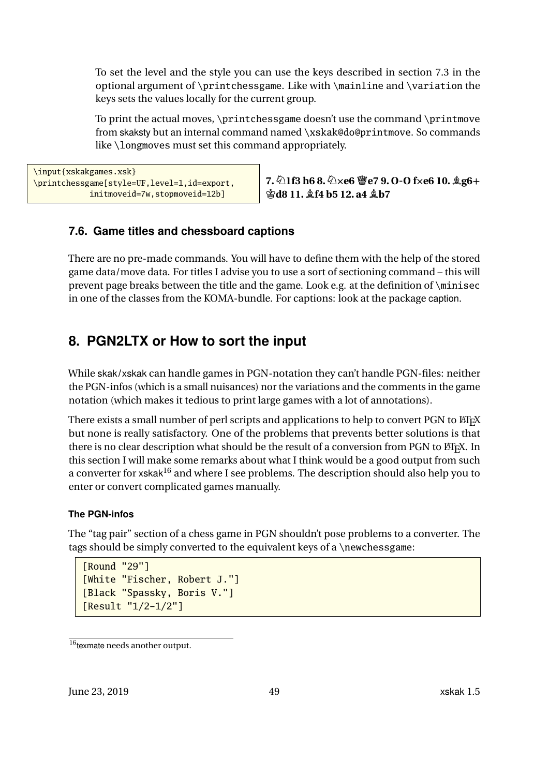To set the level and the style you can use the keys described in section [7.3](#page-45-0) in the optional argument of \printchessgame. Like with \mainline and \variation the keys sets the values locally for the current group.

To print the actual moves, \printchessgame doesn't use the command \printmove from skaksty but an internal command named \xskak@do@printmove. So commands like \longmoves must set this command appropriately.

```
\input{xskakgames.xsk}
\printchessgame[style=UF,level=1,id=export,
            initmoveid=7w,stopmoveid=12b]
```
**7.N1f3 h6 8.NXe6 Qe7 9. O-O fXe6 10. Bg6+ Kd8 11. Bf4 b5 12. a4 Bb7**

### <span id="page-48-0"></span>**7.6. Game titles and chessboard captions**

There are no pre-made commands. You will have to define them with the help of the stored game data/move data. For titles I advise you to use a sort of sectioning command – this will prevent page breaks between the title and the game. Look e.g. at the definition of \minisec in one of the classes from the KOMA-bundle. For captions: look at the package caption.

# <span id="page-48-1"></span>**8. PGN2LTX or How to sort the input**

While skak/xskak can handle games in PGN-notation they can't handle PGN-files: neither the PGN-infos (which is a small nuisances) nor the variations and the comments in the game notation (which makes it tedious to print large games with a lot of annotations).

There exists a small number of perl scripts and applications to help to convert PGN to ETEX but none is really satisfactory. One of the problems that prevents better solutions is that there is no clear description what should be the result of a conversion from PGN to ETEX. In this section I will make some remarks about what I think would be a good output from such a converter for xskak<sup>[16](#page-48-2)</sup> and where I see problems. The description should also help you to enter or convert complicated games manually.

### **The PGN-infos**

The "tag pair" section of a chess game in PGN shouldn't pose problems to a converter. The tags should be simply converted to the equivalent keys of a \newchessgame:

```
[Round "29"]
[White "Fischer, Robert J."]
[Black "Spassky, Boris V."]
[Result "1/2-1/2"]
```
<span id="page-48-2"></span><sup>&</sup>lt;sup>16</sup>texmate needs another output.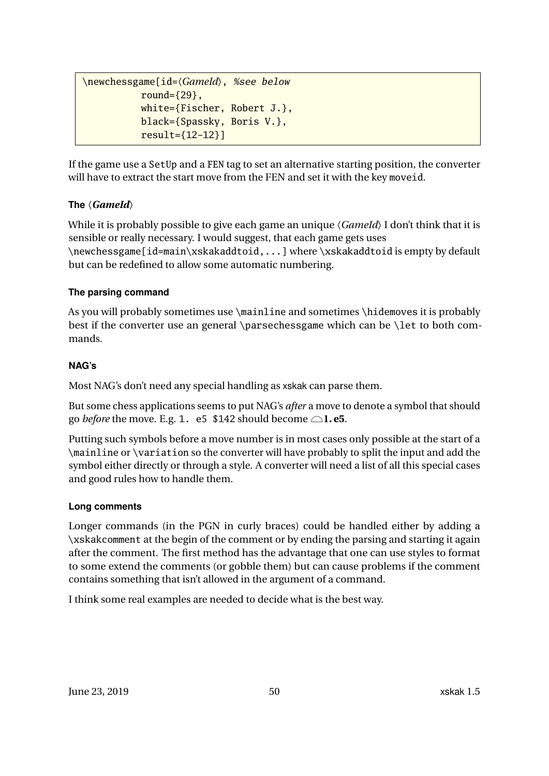```
\newchessgame[id=〈GameId〉, %see below
          round={29},
          white={Fischer, Robert J.},
          black={Spassky, Boris V.},
          result={12-12}]
```
If the game use a SetUp and a FEN tag to set an alternative starting position, the converter will have to extract the start move from the FEN and set it with the key moveid.

### **The** 〈*GameId*〉

While it is probably possible to give each game an unique  $\langle Gamel d \rangle$  I don't think that it is sensible or really necessary. I would suggest, that each game gets uses \newchessgame[id=main\xskakaddtoid,...] where \xskakaddtoid is empty by default but can be redefined to allow some automatic numbering.

### **The parsing command**

As you will probably sometimes use \mainline and sometimes \hidemoves it is probably best if the converter use an general \parsechessgame which can be \let to both commands.

#### **NAG's**

Most NAG's don't need any special handling as xskak can parse them.

But some chess applications seems to put NAG's *after* a move to denote a symbol that should go *before* the move. E.g. 1. e5 \$142 should become  $\bigcirc$ 1. e5.

Putting such symbols before a move number is in most cases only possible at the start of a \mainline or \variation so the converter will have probably to split the input and add the symbol either directly or through a style. A converter will need a list of all this special cases and good rules how to handle them.

### **Long comments**

Longer commands (in the PGN in curly braces) could be handled either by adding a \xskakcomment at the begin of the comment or by ending the parsing and starting it again after the comment. The first method has the advantage that one can use styles to format to some extend the comments (or gobble them) but can cause problems if the comment contains something that isn't allowed in the argument of a command.

I think some real examples are needed to decide what is the best way.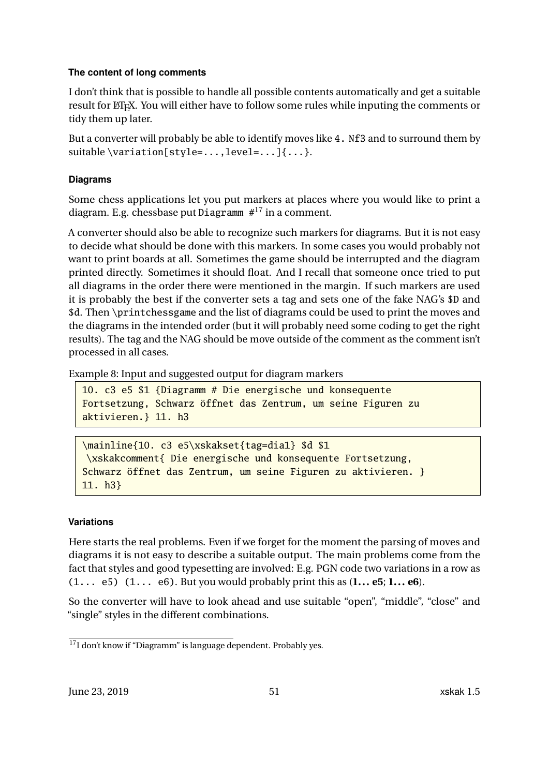#### **The content of long comments**

I don't think that is possible to handle all possible contents automatically and get a suitable result for LATEX. You will either have to follow some rules while inputing the comments or tidy them up later.

But a converter will probably be able to identify moves like 4. Nf3 and to surround them by suitable \variation[style=...,level=...]{...}.

### **Diagrams**

Some chess applications let you put markers at places where you would like to print a diagram. E.g. chessbase put Diagramm  $#^{17}$  $#^{17}$  $#^{17}$  in a comment.

A converter should also be able to recognize such markers for diagrams. But it is not easy to decide what should be done with this markers. In some cases you would probably not want to print boards at all. Sometimes the game should be interrupted and the diagram printed directly. Sometimes it should float. And I recall that someone once tried to put all diagrams in the order there were mentioned in the margin. If such markers are used it is probably the best if the converter sets a tag and sets one of the fake NAG's \$D and \$d. Then \printchessgame and the list of diagrams could be used to print the moves and the diagrams in the intended order (but it will probably need some coding to get the right results). The tag and the NAG should be move outside of the comment as the comment isn't processed in all cases.

Example 8: Input and suggested output for diagram markers

```
10. c3 e5 $1 {Diagramm # Die energische und konsequente
Fortsetzung, Schwarz öffnet das Zentrum, um seine Figuren zu
aktivieren.} 11. h3
```
\mainline{10. c3 e5\xskakset{tag=dia1} \$d \$1 \xskakcomment{ Die energische und konsequente Fortsetzung, Schwarz öffnet das Zentrum, um seine Figuren zu aktivieren. } 11. h3}

### **Variations**

Here starts the real problems. Even if we forget for the moment the parsing of moves and diagrams it is not easy to describe a suitable output. The main problems come from the fact that styles and good typesetting are involved: E.g. PGN code two variations in a row as (1... e5) (1... e6). But you would probably print this as (**1... e5**; **1... e6**).

So the converter will have to look ahead and use suitable "open", "middle", "close" and "single" styles in the different combinations.

<span id="page-50-0"></span><sup>17</sup>I don't know if "Diagramm" is language dependent. Probably yes.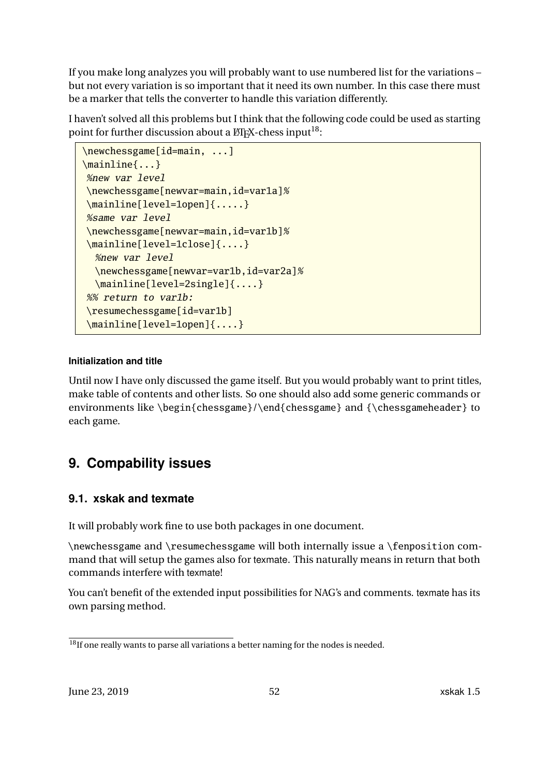<span id="page-51-3"></span>If you make long analyzes you will probably want to use numbered list for the variations – but not every variation is so important that it need its own number. In this case there must be a marker that tells the converter to handle this variation differently.

I haven't solved all this problems but I think that the following code could be used as starting point for further discussion about a  $\mathbb{A}E[X]$ -chess input<sup>[18](#page-51-2)</sup>:

```
\newchessgame[id=main, ...]
\mainline{...}
%new var level
\newchessgame[newvar=main,id=var1a]%
\mainline[level=1open]{.....}
%same var level
\newchessgame[newvar=main,id=var1b]%
\mainline[level=1close]{....}
  %new var level
  \newchessgame[newvar=var1b,id=var2a]%
  \mainline[level=2single]{....}
%% return to var1b:
\resumechessgame[id=var1b]
\mainline[level=1open]{....}
```
### **Initialization and title**

Until now I have only discussed the game itself. But you would probably want to print titles, make table of contents and other lists. So one should also add some generic commands or environments like \begin{chessgame}/\end{chessgame} and {\chessgameheader} to each game.

# <span id="page-51-0"></span>**9. Compability issues**

### <span id="page-51-1"></span>**9.1. xskak and texmate**

It will probably work fine to use both packages in one document.

\newchessgame and \resumechessgame will both internally issue a \fenposition command that will setup the games also for texmate. This naturally means in return that both commands interfere with texmate!

You can't benefit of the extended input possibilities for NAG's and comments. texmate has its own parsing method.

<span id="page-51-2"></span> $\frac{18}{18}$ If one really wants to parse all variations a better naming for the nodes is needed.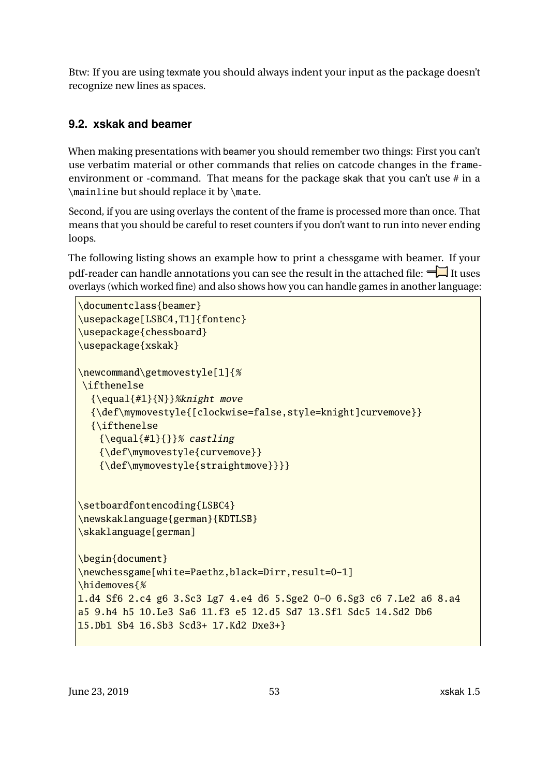<span id="page-52-1"></span>Btw: If you are using texmate you should always indent your input as the package doesn't recognize new lines as spaces.

### <span id="page-52-0"></span>**9.2. xskak and beamer**

When making presentations with beamer you should remember two things: First you can't use verbatim material or other commands that relies on catcode changes in the frameenvironment or -command. That means for the package skak that you can't use  $\#$  in a \mainline but should replace it by \mate.

Second, if you are using overlays the content of the frame is processed more than once. That means that you should be careful to reset counters if you don't want to run into never ending loops.

The following listing shows an example how to print a chessgame with beamer. If your pdf-reader can handle annotations you can see the result in the attached file:  $\blacksquare$  It uses overlays (which worked fine) and also shows how you can handle games in another language:

```
\documentclass{beamer}
\usepackage[LSBC4,T1]{fontenc}
\usepackage{chessboard}
\usepackage{xskak}
\newcommand\getmovestyle[1]{%
\ifthenelse
  {\equal{#1}{N}}%knight move
  {\def\mymovestyle{[clockwise=false,style=knight]curvemove}}
  {\ifthenelse
    {\begin{array}{c} {\S} \end{array}} castling
    {\def\mymovestyle{curvemove}}
    {\def\mymovestyle{straightmove}}}}
\setboardfontencoding{LSBC4}
\newskaklanguage{german}{KDTLSB}
\skaklanguage[german]
\begin{document}
\newchessgame[white=Paethz,black=Dirr,result=0-1]
\hidemoves{%
1.d4 Sf6 2.c4 g6 3.Sc3 Lg7 4.e4 d6 5.Sge2 O-O 6.Sg3 c6 7.Le2 a6 8.a4
a5 9.h4 h5 10.Le3 Sa6 11.f3 e5 12.d5 Sd7 13.Sf1 Sdc5 14.Sd2 Db6
15.Db1 Sb4 16.Sb3 Scd3+ 17.Kd2 Dxe3+}
```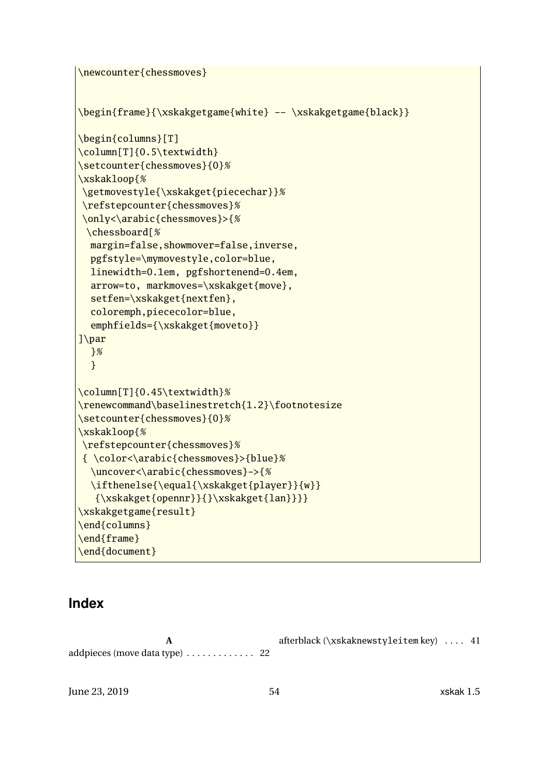```
\newcounter{chessmoves}
\begin{frame}{\xskakgetgame{white} -- \xskakgetgame{black}}
\begin{columns}[T]
\column[T]{0.5\textwidth}
\setcounter{chessmoves}{0}%
\xskakloop{%
\getmovestyle{\xskakget{piecechar}}%
\refstepcounter{chessmoves}%
\only<\arabic{chessmoves}>{%
 \chessboard[%
  margin=false,showmover=false,inverse,
  pgfstyle=\mymovestyle,color=blue,
  linewidth=0.1em, pgfshortenend=0.4em,
  arrow=to, markmoves=\xskakget{move},
  setfen=\xskakget{nextfen},
  coloremph,piececolor=blue,
  emphfields={\xskakget{moveto}}
]\par
  }%
  }
\column[T]{0.45\textwidth}%
\renewcommand\baselinestretch{1.2}\footnotesize
\setcounter{chessmoves}{0}%
\xskakloop{%
\refstepcounter{chessmoves}%
{ \color<\arabic{chessmoves}>{blue}%
  \uncover<\arabic{chessmoves}->{%
  \ifthenelse{\equal{\xskakget{player}}{w}}
   {\xskakget{opennr}}{}\xskakget{lan}}}}
\xskakgetgame{result}
\end{columns}
\end{frame}
\end{document}
```
### <span id="page-53-0"></span>**Index**

**A** addpieces (move data type) . . . . . . . . . . . . . [22](#page-21-0) afterblack (\xskaknewstyleitem key) . . . . [41](#page-40-1)

June 23, 2019 54 xskak 1.5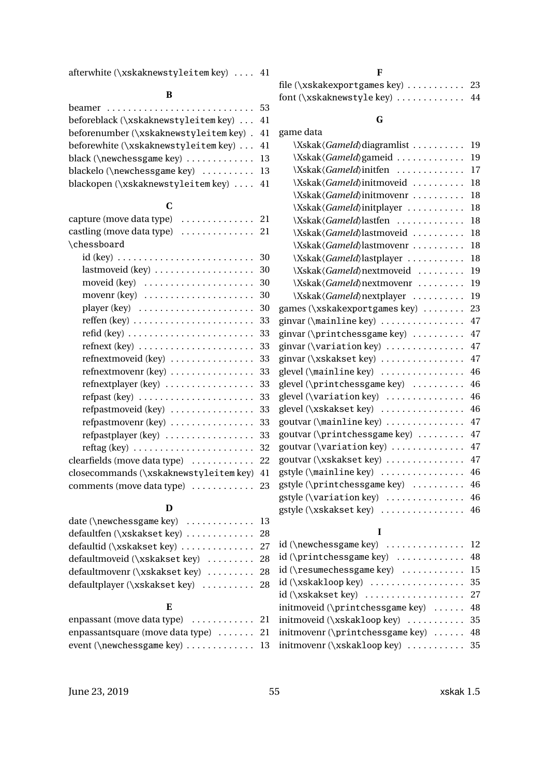afterwhite  $(\x$ skaknewstyleitem key) .... [41](#page-40-1)

### **B**

| beforeblack (\xskaknewstyleitem key)  41  |  |
|-------------------------------------------|--|
| beforenumber (\xskaknewstyleitem key). 41 |  |
| beforewhite (\xskaknewstyleitem key)  41  |  |
| black (\newchessgame key)  13             |  |
| blackelo (\newchessgame key)  13          |  |
| blackopen (\xskaknewstyleitem key)  41    |  |

### **C**

| capture (move data type)<br>. 21                                       |    |
|------------------------------------------------------------------------|----|
| castling (move data type)<br>. 21                                      |    |
| \chessboard                                                            |    |
| $id$ (key)                                                             | 30 |
| lastmoveid (key)                                                       | 30 |
| moveid (key)                                                           | 30 |
| movenr $(key)$                                                         | 30 |
| player $(key)$                                                         | 30 |
| $\text{reffen (key)} \ldots \ldots \ldots \ldots \ldots \ldots \ldots$ | 33 |
| refid (key) $\ldots \ldots \ldots \ldots \ldots \ldots \ldots \ldots$  | 33 |
| $refnext(key) \ldots \ldots \ldots \ldots \ldots \ldots$               | 33 |
| refnextmoveid (key)                                                    | 33 |
| refnextmovenr (key)                                                    | 33 |
| $refnextplayer (key) \ldots \ldots \ldots \ldots \ldots$               | 33 |
| $refpast (key) \ldots \ldots \ldots \ldots \ldots \ldots$              | 33 |
| refpastmoveid (key)                                                    | 33 |
| refpastmovenr (key)                                                    | 33 |
| refpastplayer (key)                                                    | 33 |
| $reftag (key) \ldots \ldots \ldots \ldots \ldots \ldots$               | 32 |
| clearfields (move data type)                                           | 22 |
| closecommands (\xskaknewstyleitem key)                                 | 41 |
| comments (move data type)                                              | 23 |

### **D**

| date (\newchessgame key)  13      |  |
|-----------------------------------|--|
| defaultfen (\xskakset key)  28    |  |
| defaultid (\xskakset key)  27     |  |
| defaultmoveid (\xskakset key)  28 |  |
| defaultmovenr (\xskakset key)  28 |  |
| defaultplayer (\xskakset key)  28 |  |
|                                   |  |

#### **E**

| enpassant (move data type)  21       |  |
|--------------------------------------|--|
| enpassantsquare (move data type)  21 |  |
| event (\newchessgame key)  13        |  |

### **F**

| file (\xskakexportgames key) $\dots\dots\dots$ 23 |  |
|---------------------------------------------------|--|
| font ( $\x$ skaknewstyle key)  44                 |  |

# **G**

| game data                         |    |
|-----------------------------------|----|
| \Xskak\/GameId\diagramlist        | 19 |
| \Xskak(GameId)gameid              | 19 |
| \Xskak(GameId)initfen             | 17 |
| \Xskak(GameId)initmoveid          | 18 |
| \Xskak(GameId)initmovenr          | 18 |
| \Xskak(GameId)initplayer          | 18 |
| \Xskak\ <i>GameId</i> \lastfen    | 18 |
| \Xskak\ <i>GameId</i> \lastmoveid | 18 |
| \Xskak(GameId)lastmovenr          | 18 |
| \Xskak\\fameId\}lastplayer        | 18 |
| \Xskak(GameId)nextmoveid          | 19 |
| \Xskak(GameId)nextmovenr          | 19 |
| \Xskak\ <i>GameId</i> \nextplayer | 19 |
| games (\xskakexportgames key)     | 23 |
| ginvar (\mainline key)            | 47 |
| ginvar (\printchessgame key)      | 47 |
| ginvar (\variation key)           | 47 |
| ginvar (\xskakset key)            | 47 |
| glevel (\mainline key)<br>.       | 46 |
| glevel (\printchessgame key)      | 46 |
| glevel (\variation key)           | 46 |
| glevel (\xskakset key)            | 46 |
| goutvar (\mainline key)           | 47 |
| goutvar (\printchessgame key)     | 47 |
| goutvar (\variation key)          | 47 |
| goutvar (\xskakset key)           | 47 |
| $gstyle(\mathrm{manline\,key})$   | 46 |
| gstyle (\printchessgame key)      | 46 |
| gstyle (\variation key)           | 46 |
| gstyle (\xskakset key)<br>.       | 46 |

#### **I**

| $id (\n\newchessgame key) \n \n \n 12$                   |  |
|----------------------------------------------------------|--|
| id (\printchessgame key)  48                             |  |
| $id (\n\times 15$                                        |  |
| $id (\xskakloop key) \dots \dots \dots \dots \dots \ 35$ |  |
| id (\xskakset key)  27                                   |  |
| initmoveid (\printchessgame key)  48                     |  |
| initmoveid (\xskakloop key)  35                          |  |
| initmovenr (\printchessgame key)  48                     |  |
| initmovenr (\xskakloop key)  35                          |  |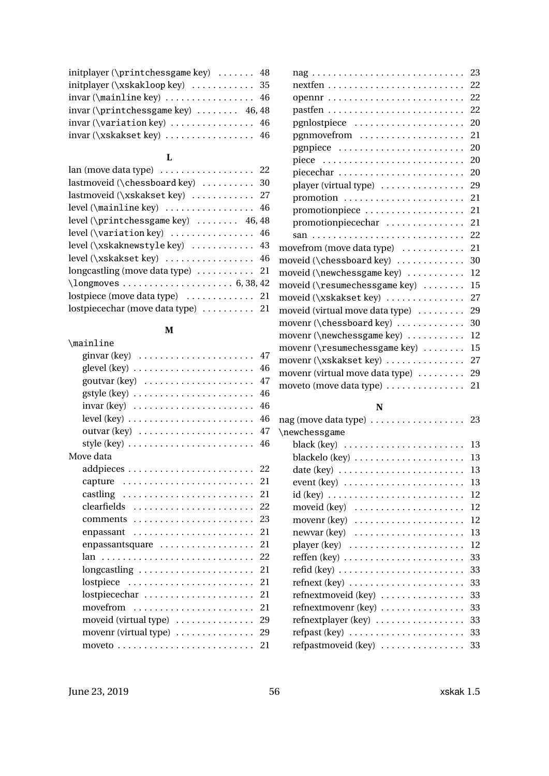| initplayer (\printchessgame key) $\dots$ 48            |  |
|--------------------------------------------------------|--|
|                                                        |  |
| $invar(\mathrm{manline\,key}) \ldots \ldots \ldots 46$ |  |
| invar ( $\prime$ rintchessgame key)  46,48             |  |
|                                                        |  |
| invar (\xskakset key)  46                              |  |

### **L**

| $lan$ (move data type) $\ldots \ldots \ldots \ldots \ldots$ 22                                                                                                                                                                                                                                                                                                                                  |  |
|-------------------------------------------------------------------------------------------------------------------------------------------------------------------------------------------------------------------------------------------------------------------------------------------------------------------------------------------------------------------------------------------------|--|
| lastmoveid (\chessboard key)  30                                                                                                                                                                                                                                                                                                                                                                |  |
| lastmoveid (\xskakset key)  27                                                                                                                                                                                                                                                                                                                                                                  |  |
| level (\mainline key)  46                                                                                                                                                                                                                                                                                                                                                                       |  |
| level (\printchessgame key)  46,48                                                                                                                                                                                                                                                                                                                                                              |  |
| level ( $\varphi$ ) ( $\varphi$ ) ( $\varphi$ ) ( $\varphi$ ) ( $\varphi$ ) ( $\varphi$ ) ( $\varphi$ ) ( $\varphi$ ) ( $\varphi$ ) ( $\varphi$ ) ( $\varphi$ ) ( $\varphi$ ) ( $\varphi$ ) ( $\varphi$ ) ( $\varphi$ ) ( $\varphi$ ) ( $\varphi$ ) ( $\varphi$ ) ( $\varphi$ ) ( $\varphi$ ) ( $\varphi$ ) ( $\varphi$ ) ( $\varphi$ ) ( $\varphi$ ) ( $\varphi$ ) ( $\varphi$ ) ( $\varphi$ ) |  |
| level (\xskaknewstyle key)  43                                                                                                                                                                                                                                                                                                                                                                  |  |
| level (\xskakset key)  46                                                                                                                                                                                                                                                                                                                                                                       |  |
| longcastling (move data type)  21                                                                                                                                                                                                                                                                                                                                                               |  |
|                                                                                                                                                                                                                                                                                                                                                                                                 |  |
|                                                                                                                                                                                                                                                                                                                                                                                                 |  |
| lostpiecechar (move data type)  21                                                                                                                                                                                                                                                                                                                                                              |  |
|                                                                                                                                                                                                                                                                                                                                                                                                 |  |

### **M**

| \mainline                                                   |     |
|-------------------------------------------------------------|-----|
| ginvar (key) $\ldots \ldots \ldots \ldots \ldots \ldots$    | 47  |
|                                                             | 46  |
|                                                             | 47  |
|                                                             | 46  |
|                                                             | 46  |
| $level (key) \ldots \ldots \ldots \ldots \ldots \ldots$     | 46  |
|                                                             | 47  |
|                                                             | 46  |
| Move data                                                   |     |
|                                                             |     |
| capture                                                     | 21  |
|                                                             | -21 |
| clearfields                                                 | 22  |
|                                                             | 23  |
| enpassant                                                   | 21  |
| enpassantsquare                                             | 21  |
|                                                             | 22  |
| longcastling                                                | 21  |
| $lostpiece \dots \dots \dots \dots \dots \dots \dots \dots$ | 21  |
| lostpiecechar                                               | 21  |
| movefrom                                                    | 21  |
| moveid (virtual type)                                       | 29  |
| movenr (virtual type)                                       | 29  |
|                                                             | 21  |

| 23   |
|------|
|      |
| 22   |
| - 22 |
| 20   |
| 21   |
| 20   |
| 20   |
| 20   |
| 29   |
| 21   |
| 21   |
| 21   |
| 22   |
| 21   |
| 30   |
| 12   |
| 15   |
| 27   |
| 29   |
| 30   |
| 12   |
| 15   |
| 27   |
| 29   |
| 21   |
|      |

#### **N**

| nag (move data type) $\dots \dots \dots \dots \dots \dots$ 23   |    |
|-----------------------------------------------------------------|----|
| \newchessgame                                                   |    |
|                                                                 | 13 |
|                                                                 | 13 |
|                                                                 | 13 |
| $event (key) \ldots \ldots \ldots \ldots \ldots \ldots \ldots$  | 13 |
|                                                                 | 12 |
| moveid $(key)$                                                  | 12 |
| movenr $(key)$                                                  | 12 |
| $newvar (key) \dots \dots \dots \dots \dots \dots \dots$        | 13 |
| player $(key) \dots \dots \dots \dots \dots \dots \dots$        | 12 |
| reffen (key) $\ldots \ldots \ldots \ldots \ldots \ldots \ldots$ | 33 |
| $\text{refid}$ (key)                                            | 33 |
| $refnext(key) \ldots \ldots \ldots \ldots \ldots \ldots$        | 33 |
| refnextmoveid (key)                                             | 33 |
| $refnextmovenr$ (key) $\dots\dots\dots\dots\dots$               | 33 |
| refnextplayer (key)                                             | 33 |
| $refpast (key) \ldots \ldots \ldots \ldots \ldots \ldots$       | 33 |
| refpastmoveid (key)                                             | 33 |
|                                                                 |    |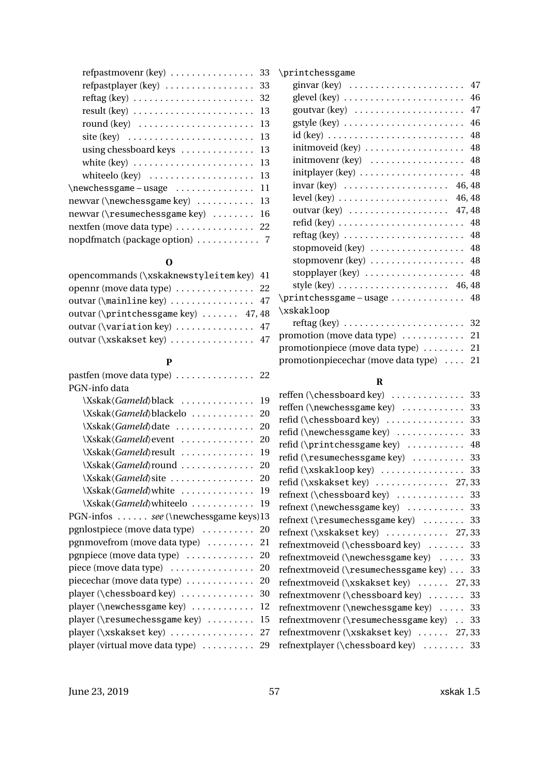| refpastmovenr (key) $\dots \dots \dots \dots \dots$ 33                |
|-----------------------------------------------------------------------|
| $refpastplayer (key) \ldots \ldots \ldots \ldots$<br>33               |
| 32                                                                    |
| 13<br>$result (key) \ldots \ldots \ldots \ldots \ldots \ldots \ldots$ |
| round $(key) \dots \dots \dots \dots \dots \dots \dots$<br>13         |
| site (key) $\dots \dots \dots \dots \dots \dots \dots \dots$<br>13    |
| using chessboard keys<br>13                                           |
| 13                                                                    |
| whiteelo $(key) \dots \dots \dots \dots \dots \dots$<br>13            |
| \newchessgame-usage<br>11                                             |
| newvar (\newchessgame key)<br>13                                      |
| newvar (\resumechessgame key)<br>16                                   |
| nextfen (move data type)  22                                          |
|                                                                       |

### **O**

| opencommands (\xskaknewstyleitem key) 41 |  |
|------------------------------------------|--|
| opennr (move data type)  22              |  |
| outvar (\mainline key)  47               |  |
| outvar (\printchessgame key)  47,48      |  |
| outvar (\variation key)  47              |  |
| outvar (\xskakset key)  47               |  |

### **P**

| pastfen (move data type)  22         |    |
|--------------------------------------|----|
| PGN-info data                        |    |
| \Xskak(GameId)black                  | 19 |
| \Xskak(GameId)blackelo  20           |    |
| \Xskak(GameId)date  20               |    |
| \Xskak(GameId) event  20             |    |
| \Xskak <i>\GameId</i> \result        | 19 |
| \Xskak\/GameId\round  20             |    |
| \Xskak(GameId)site  20               |    |
| \Xskak\ <i>GameId</i> \white         | 19 |
| \Xskak\ <i>GameId</i> \whiteelo      | 19 |
| PGN-infos see (\newchessgame keys)13 |    |
| pgnlostpiece (move data type)  20    |    |
| pgnmovefrom (move data type)  21     |    |
| pgnpiece (move data type)  20        |    |
| piece (move data type)  20           |    |
| piecechar (move data type)           | 20 |
| player (\chessboard key)             | 30 |
| player (\newchessgame key)           | 12 |
| player (\resumechessgame key)  15    |    |
| player (\xskakset key)  27           |    |
| player (virtual move data type)      | 29 |
|                                      |    |

| \printchessgame                                                        |    |
|------------------------------------------------------------------------|----|
| ginvar (key) $\dots \dots \dots \dots \dots \dots \dots$               | 47 |
|                                                                        | 46 |
| goutvar $(key) \dots \dots \dots \dots \dots \dots$                    | 47 |
|                                                                        | 46 |
|                                                                        | 48 |
| initmoveid (key)                                                       | 48 |
| initmovenr (key)                                                       | 48 |
|                                                                        | 48 |
| $invar (key)$ 46, 48                                                   |    |
| level (key) $\dots \dots \dots \dots \dots \dots \dots \dots \ 46, 48$ |    |
| outvar (key) 47, 48                                                    |    |
| $\text{refid (key)} \ldots \ldots \ldots \ldots \ldots \ldots \ldots$  | 48 |
|                                                                        | 48 |
| stopmoveid (key)  48                                                   |    |
| stopmovenr (key)                                                       | 48 |
| stopplayer $(key) \ldots \ldots \ldots \ldots \ldots$                  | 48 |
| style (key) $\ldots \ldots \ldots \ldots \ldots \ldots$ 46, 48         |    |
|                                                                        |    |
| \xskakloop                                                             |    |
| $reftag (key) \ldots \ldots \ldots \ldots \ldots \ldots$               | 32 |
| promotion (move data type)  21                                         |    |
| promotionpiece (move data type)                                        | 21 |
| promotionpiecechar (move data type)                                    | 21 |

### **R**

| reffen (\chessboard key)  33              |
|-------------------------------------------|
| reffen (\newchessgame key)  33            |
| refid (\chessboard key)  33               |
| refid (\newchessgame key)  33             |
| refid (\printchessgame key)  48           |
| refid (\resumechessgame key)  33          |
| refid (\xskakloop key)  33                |
| refid (\xskakset key)  27,33              |
| refnext (\chessboard key)  33             |
| refnext (\newchessgame key)  33           |
| refnext (\resumechessgame key)  33        |
| refnext (\xskakset key)  27,33            |
| refnextmoveid (\chessboard key)  33       |
| refnextmoveid (\newchessgame key)  33     |
| refnextmoveid (\resumechessgame key) 33   |
| refnextmoveid (\xskakset key)  27,33      |
| refnextmovenr (\chessboard key)  33       |
| refnextmovenr (\newchessgame key)  33     |
| refnextmovenr (\resumechessgame key) . 33 |
| refnextmovenr (\xskakset key)  27,33      |
| refnextplayer (\chessboard key)  33       |
|                                           |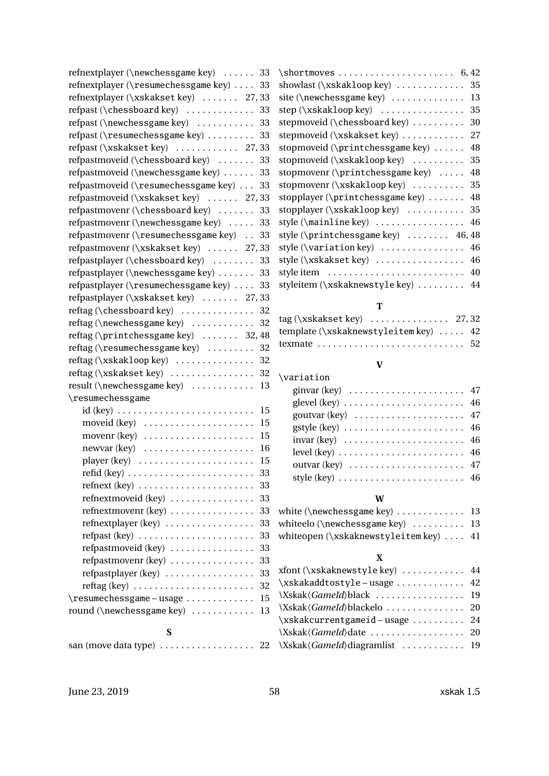| refnextplayer (\newchessgame key)                        | 33       |
|----------------------------------------------------------|----------|
| refnextplayer (\resumechessgame key)                     | 33       |
| refnextplayer (\xskakset key)  27,33                     |          |
| refpast (\chessboard key)                                | 33       |
| refpast (\newchessgame key)                              | 33       |
| refpast (\resumechessgame key)                           | 33       |
| refpast (\xskakset key)  27,33                           |          |
| refpastmoveid (\chessboard key)                          | 33       |
| refpastmoveid (\newchessgame key)                        | 33       |
| refpastmoveid (\resumechessgame key)                     | 33       |
| refpastmoveid (\xskakset key)  27,33                     |          |
| refpastmovenr (\chessboard key)                          | 33       |
| refpastmovenr (\newchessgame key)                        | 33       |
| refpastmovenr (\resumechessgame key)                     | 33       |
| refpastmovenr (\xskakset key)  27,33                     |          |
| refpastplayer (\chessboard key)                          | 33       |
| refpastplayer (\newchessgame key)                        | 33       |
| refpastplayer (\resumechessgame key)                     | 33       |
| refpastplayer (\xskakset key)  27,33                     |          |
| $reftag (\chessboard key) \ldots$                        | 32       |
| reftag (\newchessgame key)                               | 32       |
| reftag (\printchessgame key)  32,48                      |          |
| reftag (\resumechessgame key)                            | 32       |
| reftag (\xskakloop key)  32                              |          |
| reftag (\xskakset key)                                   | 32       |
| result (\newchessgame key)                               | 13       |
| \resumechessgame                                         |          |
|                                                          | 15       |
| moveid $(key)$                                           | 15       |
| movenr (key)                                             | 15       |
| $newvar (key) \dots \dots \dots \dots \dots \dots \dots$ | 16       |
|                                                          | 15       |
|                                                          | 33       |
| refnext $(key) \ldots$                                   | 33       |
| . <b>.</b><br>refnextmoveid (key)                        | 33       |
| refnextmovenr (key)                                      | 33       |
| refnextplayer (key)                                      | 33       |
| refpast (key)                                            | 33       |
| refpastmoveid (key)                                      | 33       |
| $refpastmovenr (key) \ldots \ldots \ldots \ldots$        | 33       |
| refpastplayer (key)                                      | 33       |
|                                                          |          |
| $reftag (key) \ldots \ldots \ldots \ldots \ldots \ldots$ | 32       |
| \resumechessgame-usage                                   | 15<br>13 |
| round (\newchessgame key)                                |          |
| S                                                        |          |
| san (move data type)                                     | 22       |

| showlast (\xskakloop key)  35        |    |
|--------------------------------------|----|
| site (\newchessgame key)             | 13 |
| step ( $xskakloop key$ )  35         |    |
| stepmoveid (\chessboard key)         | 30 |
| stepmoveid (\xskakset key)  27       |    |
| stopmoveid (\printchessgame key)  48 |    |
| stopmoveid (\xskakloop key)  35      |    |
| stopmovenr (\printchessgame key)  48 |    |
| stopmovenr (\xskakloop key)  35      |    |
| stopplayer (\printchessgame key)  48 |    |
| stopplayer (\xskakloop key)  35      |    |
| style (\mainline key)  46            |    |
| style (\printchessgame key)  46,48   |    |
| style (\variation key)  46           |    |
| style (\xskakset key)  46            |    |
|                                      |    |

### **T**

styleitem (\xskaknewstyle key) . . . . . . . . . [44](#page-43-0)

| $tag (\xskakset key) \dots \dots \dots \dots \dots \dots \dots \dots \dots \dots$ |  |
|-----------------------------------------------------------------------------------|--|
| template (\xskaknewstyleitemkey)  42                                              |  |
|                                                                                   |  |

### **V**

| \variation                                                                |  |
|---------------------------------------------------------------------------|--|
| ginvar (key) $\ldots \ldots \ldots \ldots \ldots \ldots$ 47               |  |
| glevel (key) $\dots \dots \dots \dots \dots \dots \dots \dots \dots \ 46$ |  |
|                                                                           |  |
| gstyle (key) $\dots \dots \dots \dots \dots \dots \dots \dots \dots$ 46   |  |
|                                                                           |  |
| level (key) $\ldots \ldots \ldots \ldots \ldots \ldots \ldots$ 46         |  |
| outvar (key) $\ldots \ldots \ldots \ldots \ldots \ldots$ 47               |  |
| style (key) $\ldots \ldots \ldots \ldots \ldots \ldots \ldots$ 46         |  |
|                                                                           |  |

#### **W**

| white (\newchessgame key) $\dots\dots\dots 13$ |  |
|------------------------------------------------|--|
| whiteelo (\newchessgame key)  13               |  |
| whiteopen (\xskaknewstyleitem key)  41         |  |

### **X**

| xfont (\xskaknewstyle key)  44  |  |
|---------------------------------|--|
| \xskakaddtostyle-usage  42      |  |
| \Xskak\\lameId\black  19        |  |
| \Xskak\/GameId\blackelo 20      |  |
| \xskakcurrentgameid-usage  24   |  |
| \Xskak\/GameId\date  20         |  |
| \Xskak\/GameId\\diagramlist  19 |  |